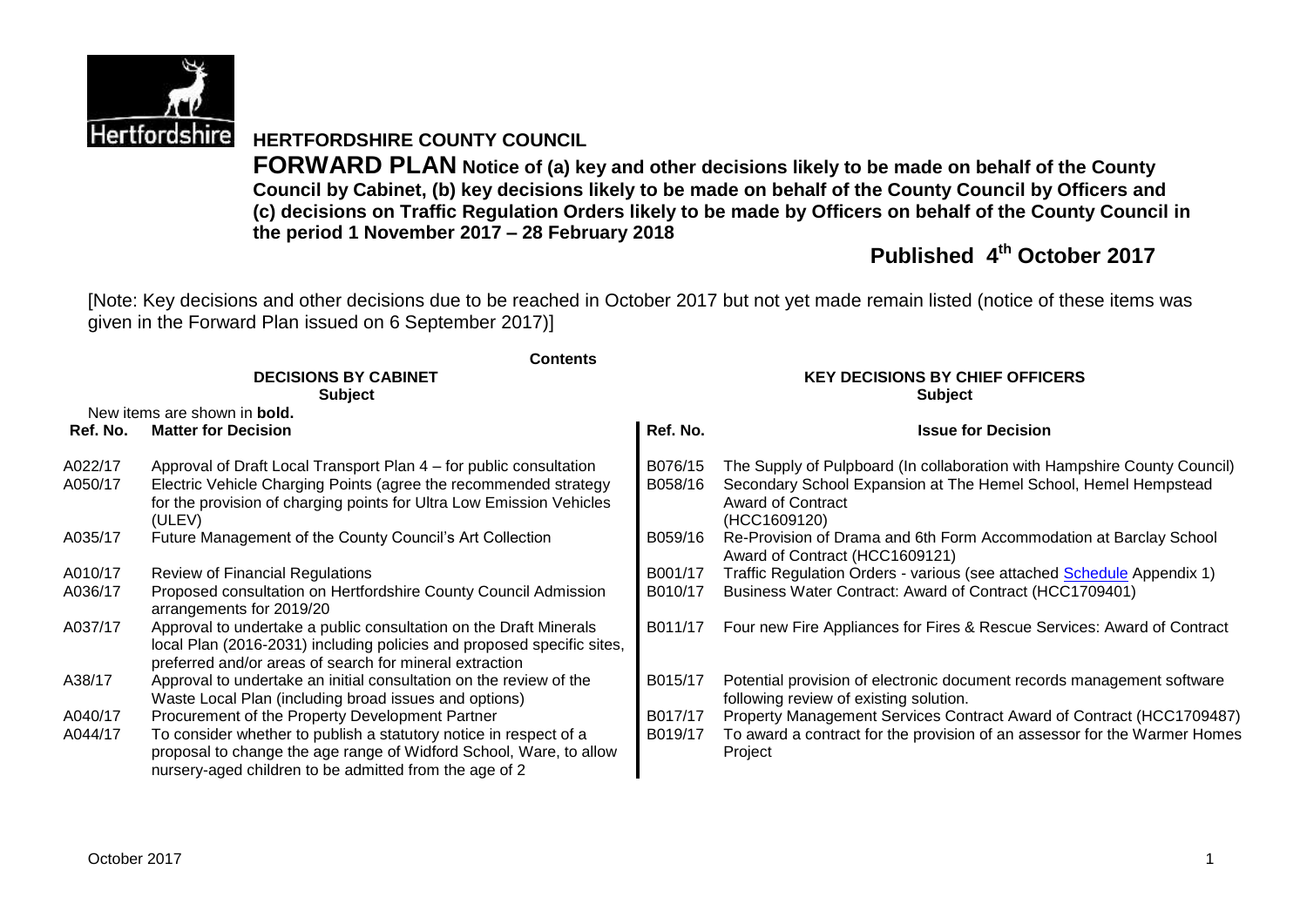

# **HERTFORDSHIRE COUNTY COUNCIL**

**FORWARD PLAN Notice of (a) key and other decisions likely to be made on behalf of the County Council by Cabinet, (b) key decisions likely to be made on behalf of the County Council by Officers and (c) decisions on Traffic Regulation Orders likely to be made by Officers on behalf of the County Council in the period 1 November 2017 – 28 February 2018**

# **Published 4 th October 2017**

[Note: Key decisions and other decisions due to be reached in October 2017 but not yet made remain listed (notice of these items was given in the Forward Plan issued on 6 September 2017)]

|                    | <b>Contents</b>                                                                                                                                                                                                                                      |                                        |                                                                                                                                                                                         |  |  |
|--------------------|------------------------------------------------------------------------------------------------------------------------------------------------------------------------------------------------------------------------------------------------------|----------------------------------------|-----------------------------------------------------------------------------------------------------------------------------------------------------------------------------------------|--|--|
|                    | <b>DECISIONS BY CABINET</b>                                                                                                                                                                                                                          | <b>KEY DECISIONS BY CHIEF OFFICERS</b> |                                                                                                                                                                                         |  |  |
|                    | <b>Subject</b>                                                                                                                                                                                                                                       |                                        | <b>Subject</b>                                                                                                                                                                          |  |  |
|                    | New items are shown in <b>bold.</b>                                                                                                                                                                                                                  |                                        |                                                                                                                                                                                         |  |  |
| Ref. No.           | <b>Matter for Decision</b>                                                                                                                                                                                                                           | Ref. No.                               | <b>Issue for Decision</b>                                                                                                                                                               |  |  |
| A022/17<br>A050/17 | Approval of Draft Local Transport Plan 4 – for public consultation<br>Electric Vehicle Charging Points (agree the recommended strategy<br>for the provision of charging points for Ultra Low Emission Vehicles<br>(ULEV)                             | B076/15<br>B058/16                     | The Supply of Pulpboard (In collaboration with Hampshire County Council)<br>Secondary School Expansion at The Hemel School, Hemel Hempstead<br><b>Award of Contract</b><br>(HCC1609120) |  |  |
| A035/17            | Future Management of the County Council's Art Collection                                                                                                                                                                                             | B059/16                                | Re-Provision of Drama and 6th Form Accommodation at Barclay School<br>Award of Contract (HCC1609121)                                                                                    |  |  |
| A010/17            | <b>Review of Financial Regulations</b>                                                                                                                                                                                                               | B001/17                                | Traffic Regulation Orders - various (see attached Schedule Appendix 1)                                                                                                                  |  |  |
| A036/17            | Proposed consultation on Hertfordshire County Council Admission<br>arrangements for 2019/20                                                                                                                                                          | B010/17                                | Business Water Contract: Award of Contract (HCC1709401)                                                                                                                                 |  |  |
| A037/17            | Approval to undertake a public consultation on the Draft Minerals<br>local Plan (2016-2031) including policies and proposed specific sites,<br>preferred and/or areas of search for mineral extraction                                               | B011/17                                | Four new Fire Appliances for Fires & Rescue Services: Award of Contract                                                                                                                 |  |  |
| A38/17             | Approval to undertake an initial consultation on the review of the<br>Waste Local Plan (including broad issues and options)                                                                                                                          | B015/17                                | Potential provision of electronic document records management software<br>following review of existing solution.                                                                        |  |  |
| A040/17<br>A044/17 | Procurement of the Property Development Partner<br>To consider whether to publish a statutory notice in respect of a<br>proposal to change the age range of Widford School, Ware, to allow<br>nursery-aged children to be admitted from the age of 2 | B017/17<br>B019/17                     | Property Management Services Contract Award of Contract (HCC1709487)<br>To award a contract for the provision of an assessor for the Warmer Homes<br>Project                            |  |  |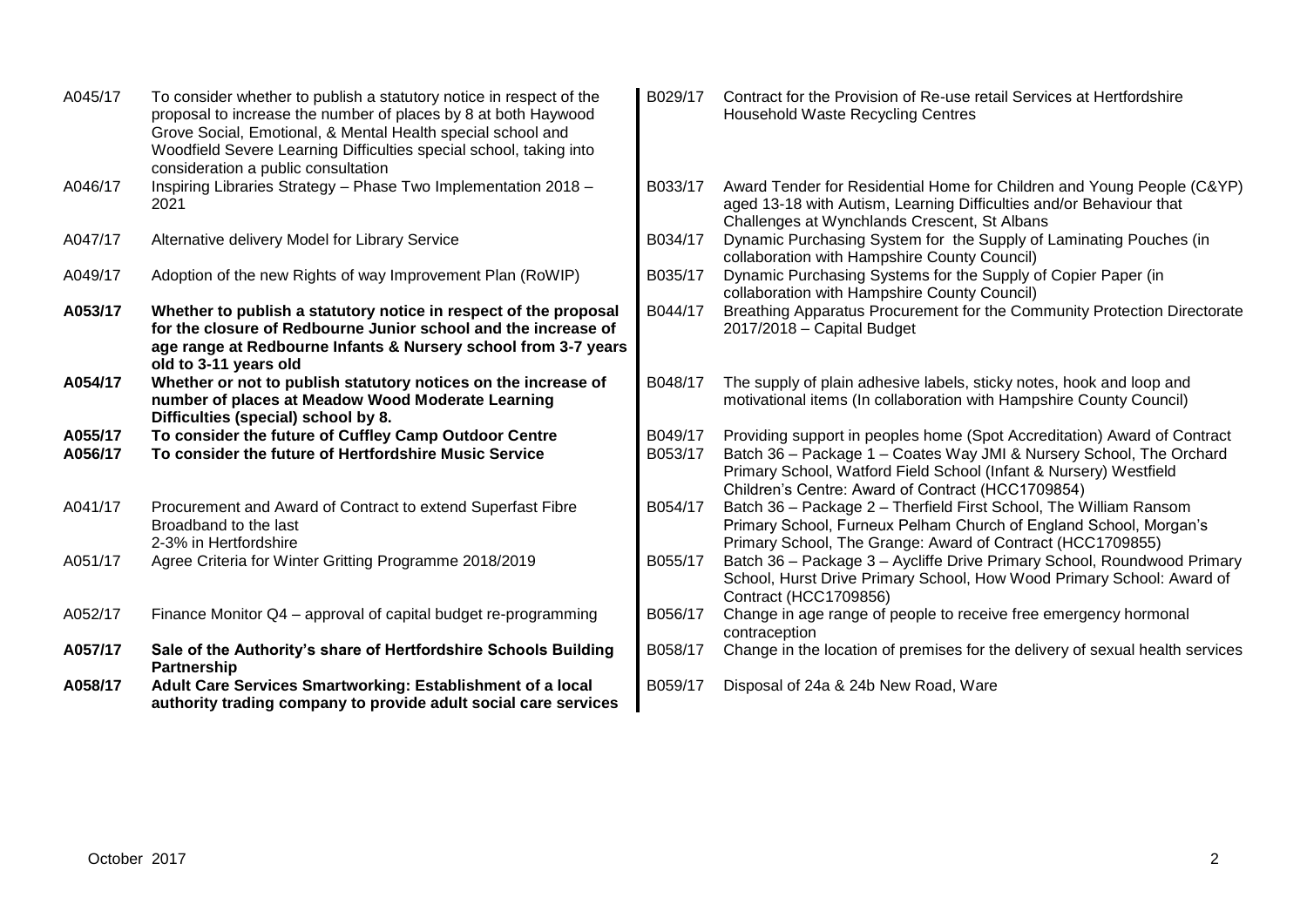| A045/17            | To consider whether to publish a statutory notice in respect of the<br>proposal to increase the number of places by 8 at both Haywood<br>Grove Social, Emotional, & Mental Health special school and<br>Woodfield Severe Learning Difficulties special school, taking into<br>consideration a public consultation | B029/17            | Contract for the Provision of Re-use retail Services at Hertfordshire<br><b>Household Waste Recycling Centres</b>                                                                                                                                                         |
|--------------------|-------------------------------------------------------------------------------------------------------------------------------------------------------------------------------------------------------------------------------------------------------------------------------------------------------------------|--------------------|---------------------------------------------------------------------------------------------------------------------------------------------------------------------------------------------------------------------------------------------------------------------------|
| A046/17            | Inspiring Libraries Strategy - Phase Two Implementation 2018 -<br>2021                                                                                                                                                                                                                                            | B033/17            | Award Tender for Residential Home for Children and Young People (C&YP)<br>aged 13-18 with Autism, Learning Difficulties and/or Behaviour that<br>Challenges at Wynchlands Crescent, St Albans                                                                             |
| A047/17            | Alternative delivery Model for Library Service                                                                                                                                                                                                                                                                    | B034/17            | Dynamic Purchasing System for the Supply of Laminating Pouches (in<br>collaboration with Hampshire County Council)                                                                                                                                                        |
| A049/17            | Adoption of the new Rights of way Improvement Plan (RoWIP)                                                                                                                                                                                                                                                        | B035/17            | Dynamic Purchasing Systems for the Supply of Copier Paper (in<br>collaboration with Hampshire County Council)                                                                                                                                                             |
| A053/17            | Whether to publish a statutory notice in respect of the proposal<br>for the closure of Redbourne Junior school and the increase of<br>age range at Redbourne Infants & Nursery school from 3-7 years<br>old to 3-11 years old                                                                                     | B044/17            | Breathing Apparatus Procurement for the Community Protection Directorate<br>2017/2018 - Capital Budget                                                                                                                                                                    |
| A054/17            | Whether or not to publish statutory notices on the increase of<br>number of places at Meadow Wood Moderate Learning<br>Difficulties (special) school by 8.                                                                                                                                                        | B048/17            | The supply of plain adhesive labels, sticky notes, hook and loop and<br>motivational items (In collaboration with Hampshire County Council)                                                                                                                               |
| A055/17<br>A056/17 | To consider the future of Cuffley Camp Outdoor Centre<br>To consider the future of Hertfordshire Music Service                                                                                                                                                                                                    | B049/17<br>B053/17 | Providing support in peoples home (Spot Accreditation) Award of Contract<br>Batch 36 - Package 1 - Coates Way JMI & Nursery School, The Orchard<br>Primary School, Watford Field School (Infant & Nursery) Westfield<br>Children's Centre: Award of Contract (HCC1709854) |
| A041/17            | Procurement and Award of Contract to extend Superfast Fibre<br>Broadband to the last<br>2-3% in Hertfordshire                                                                                                                                                                                                     | B054/17            | Batch 36 - Package 2 - Therfield First School, The William Ransom<br>Primary School, Furneux Pelham Church of England School, Morgan's<br>Primary School, The Grange: Award of Contract (HCC1709855)                                                                      |
| A051/17            | Agree Criteria for Winter Gritting Programme 2018/2019                                                                                                                                                                                                                                                            | B055/17            | Batch 36 - Package 3 - Aycliffe Drive Primary School, Roundwood Primary<br>School, Hurst Drive Primary School, How Wood Primary School: Award of<br>Contract (HCC1709856)                                                                                                 |
| A052/17            | Finance Monitor Q4 – approval of capital budget re-programming                                                                                                                                                                                                                                                    | B056/17            | Change in age range of people to receive free emergency hormonal<br>contraception                                                                                                                                                                                         |
| A057/17            | Sale of the Authority's share of Hertfordshire Schools Building<br><b>Partnership</b>                                                                                                                                                                                                                             | B058/17            | Change in the location of premises for the delivery of sexual health services                                                                                                                                                                                             |
| A058/17            | Adult Care Services Smartworking: Establishment of a local<br>authority trading company to provide adult social care services                                                                                                                                                                                     | B059/17            | Disposal of 24a & 24b New Road, Ware                                                                                                                                                                                                                                      |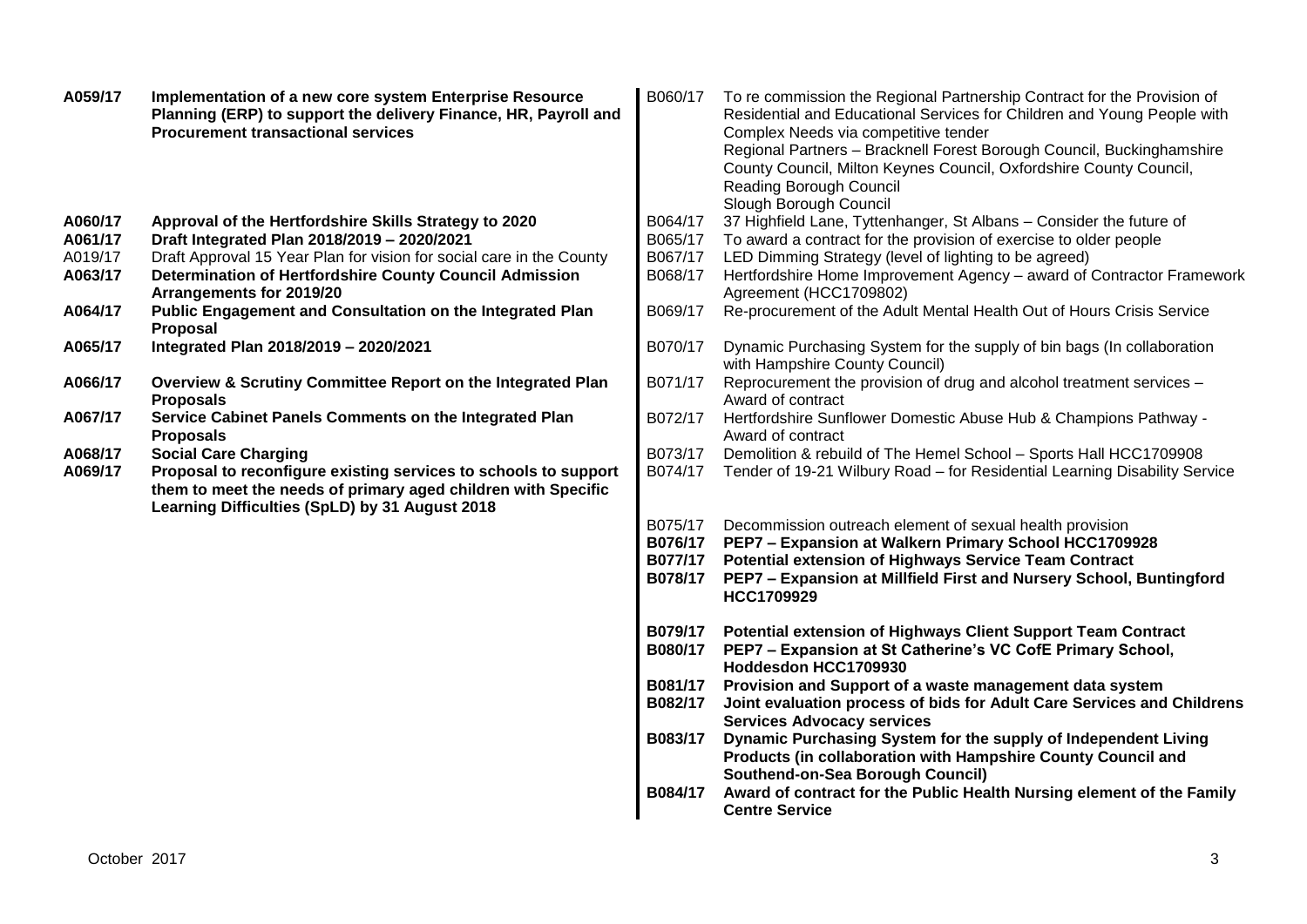| A059/17            | Implementation of a new core system Enterprise Resource<br>Planning (ERP) to support the delivery Finance, HR, Payroll and<br><b>Procurement transactional services</b>                                           | B060/17                                  | To re commission the Regional Partnership Contract for the Provision of<br>Residential and Educational Services for Children and Young People with<br>Complex Needs via competitive tender<br>Regional Partners - Bracknell Forest Borough Council, Buckinghamshire<br>County Council, Milton Keynes Council, Oxfordshire County Council,<br>Reading Borough Council<br>Slough Borough Council |
|--------------------|-------------------------------------------------------------------------------------------------------------------------------------------------------------------------------------------------------------------|------------------------------------------|------------------------------------------------------------------------------------------------------------------------------------------------------------------------------------------------------------------------------------------------------------------------------------------------------------------------------------------------------------------------------------------------|
| A060/17            | Approval of the Hertfordshire Skills Strategy to 2020                                                                                                                                                             | B064/17                                  | 37 Highfield Lane, Tyttenhanger, St Albans - Consider the future of                                                                                                                                                                                                                                                                                                                            |
| A061/17            | Draft Integrated Plan 2018/2019 - 2020/2021                                                                                                                                                                       | B065/17                                  | To award a contract for the provision of exercise to older people                                                                                                                                                                                                                                                                                                                              |
| A019/17            | Draft Approval 15 Year Plan for vision for social care in the County                                                                                                                                              | B067/17                                  | LED Dimming Strategy (level of lighting to be agreed)                                                                                                                                                                                                                                                                                                                                          |
| A063/17            | <b>Determination of Hertfordshire County Council Admission</b><br>Arrangements for 2019/20                                                                                                                        | B068/17                                  | Hertfordshire Home Improvement Agency - award of Contractor Framework<br>Agreement (HCC1709802)                                                                                                                                                                                                                                                                                                |
| A064/17            | Public Engagement and Consultation on the Integrated Plan<br>Proposal                                                                                                                                             | B069/17                                  | Re-procurement of the Adult Mental Health Out of Hours Crisis Service                                                                                                                                                                                                                                                                                                                          |
| A065/17            | Integrated Plan 2018/2019 - 2020/2021                                                                                                                                                                             | B070/17                                  | Dynamic Purchasing System for the supply of bin bags (In collaboration<br>with Hampshire County Council)                                                                                                                                                                                                                                                                                       |
| A066/17            | Overview & Scrutiny Committee Report on the Integrated Plan<br><b>Proposals</b>                                                                                                                                   | B071/17                                  | Reprocurement the provision of drug and alcohol treatment services -<br>Award of contract                                                                                                                                                                                                                                                                                                      |
| A067/17            | Service Cabinet Panels Comments on the Integrated Plan<br><b>Proposals</b>                                                                                                                                        | B072/17                                  | Hertfordshire Sunflower Domestic Abuse Hub & Champions Pathway -<br>Award of contract                                                                                                                                                                                                                                                                                                          |
| A068/17<br>A069/17 | <b>Social Care Charging</b><br>Proposal to reconfigure existing services to schools to support<br>them to meet the needs of primary aged children with Specific<br>Learning Difficulties (SpLD) by 31 August 2018 | B073/17<br>B074/17                       | Demolition & rebuild of The Hemel School - Sports Hall HCC1709908<br>Tender of 19-21 Wilbury Road - for Residential Learning Disability Service                                                                                                                                                                                                                                                |
|                    |                                                                                                                                                                                                                   | B075/17<br>B076/17<br>B077/17<br>B078/17 | Decommission outreach element of sexual health provision<br>PEP7 - Expansion at Walkern Primary School HCC1709928<br><b>Potential extension of Highways Service Team Contract</b><br>PEP7 - Expansion at Millfield First and Nursery School, Buntingford<br>HCC1709929                                                                                                                         |
|                    |                                                                                                                                                                                                                   | B079/17<br>B080/17                       | Potential extension of Highways Client Support Team Contract<br>PEP7 - Expansion at St Catherine's VC CofE Primary School,<br>Hoddesdon HCC1709930                                                                                                                                                                                                                                             |
|                    |                                                                                                                                                                                                                   | B081/17                                  | Provision and Support of a waste management data system                                                                                                                                                                                                                                                                                                                                        |
|                    |                                                                                                                                                                                                                   | B082/17                                  | Joint evaluation process of bids for Adult Care Services and Childrens<br><b>Services Advocacy services</b>                                                                                                                                                                                                                                                                                    |
|                    |                                                                                                                                                                                                                   | B083/17                                  | Dynamic Purchasing System for the supply of Independent Living<br>Products (in collaboration with Hampshire County Council and<br>Southend-on-Sea Borough Council)                                                                                                                                                                                                                             |
|                    |                                                                                                                                                                                                                   | B084/17                                  | Award of contract for the Public Health Nursing element of the Family<br><b>Centre Service</b>                                                                                                                                                                                                                                                                                                 |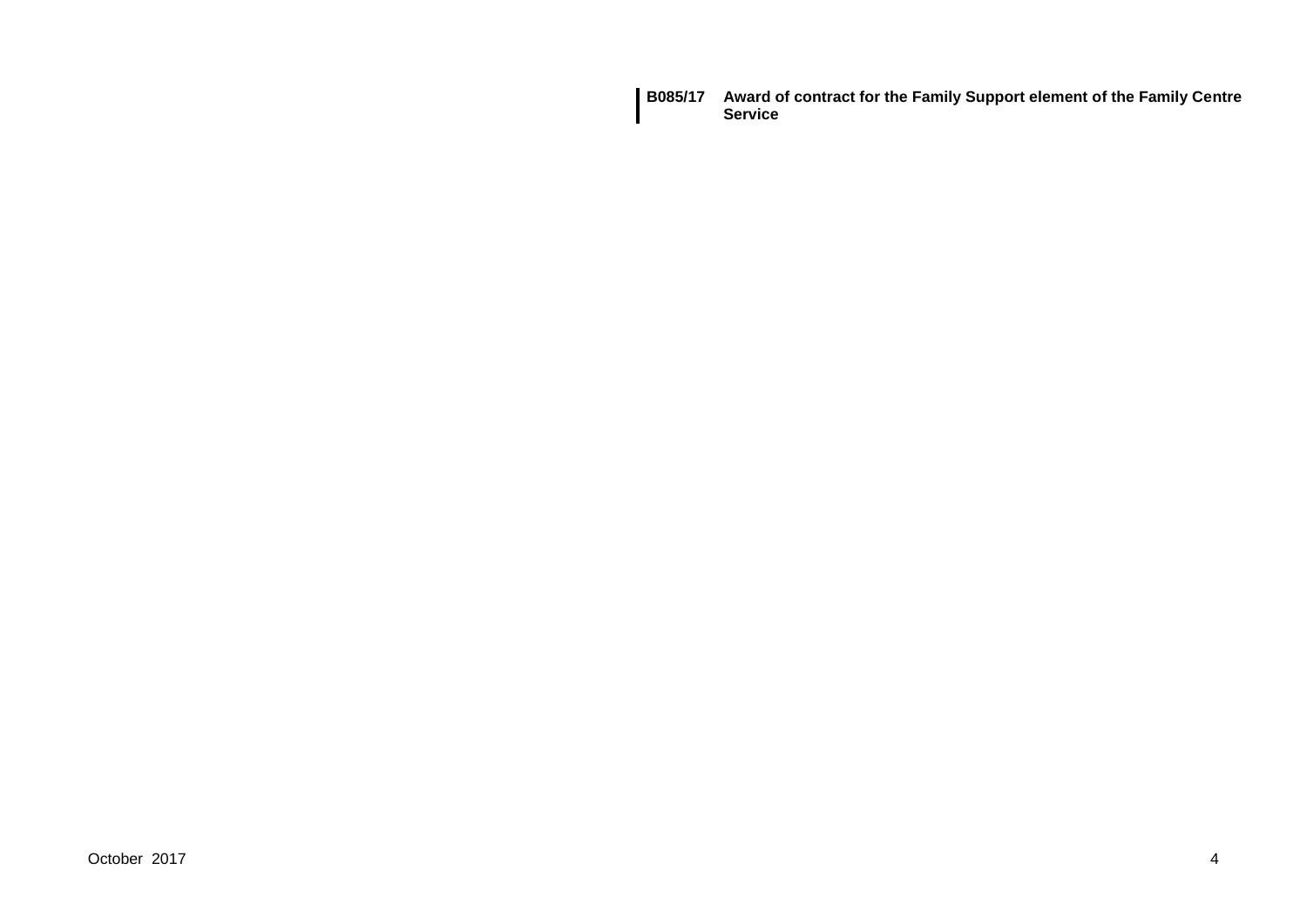**B085/17 Award of contract for the Family Support element of the Family Centre Service**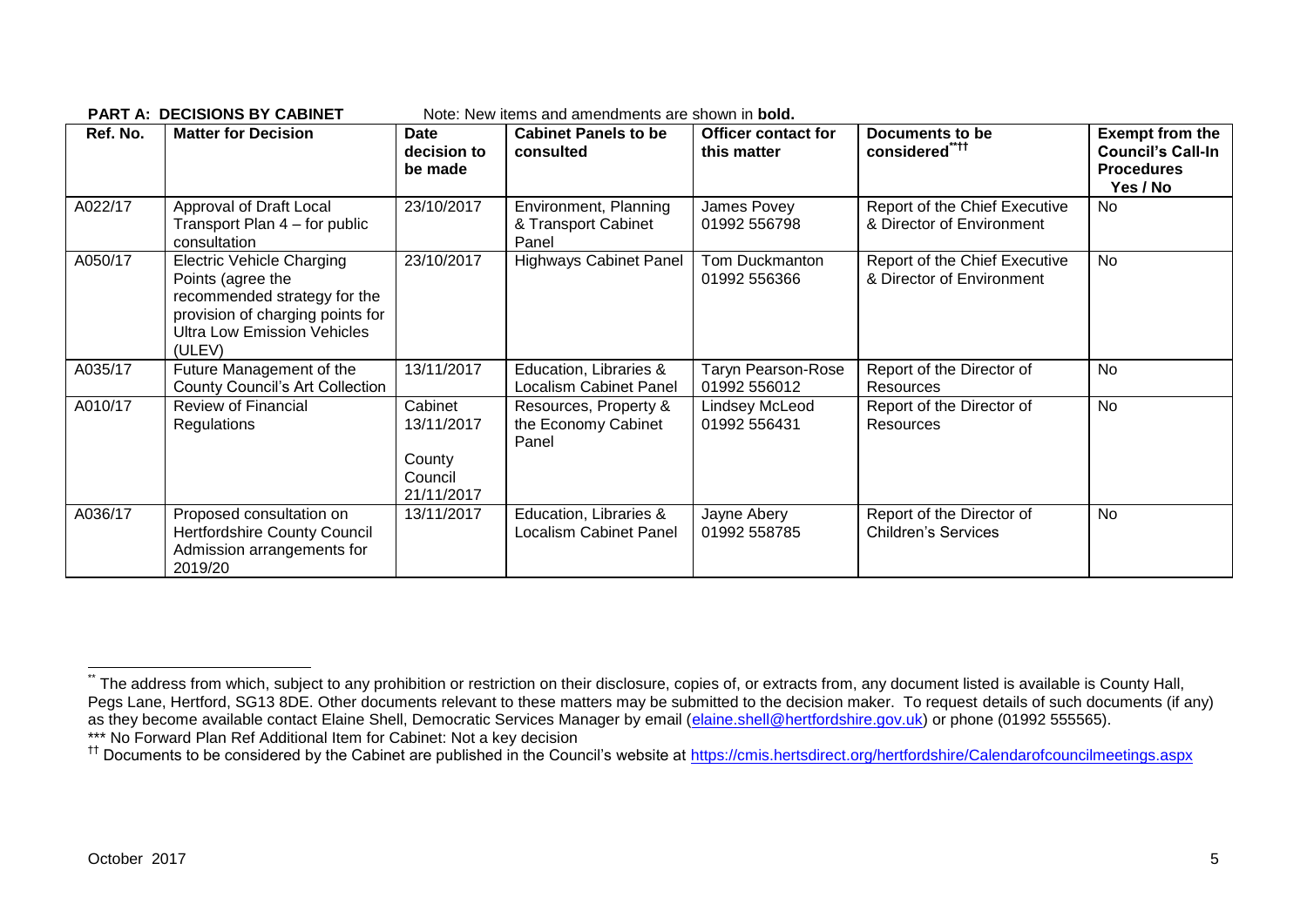|          | FANTA. DEGISIONS DI GABINET                                                                                                                                               |                                                          | inule. Them items and amendments are shown in <b>boid.</b> |                                           |                                                            |                                                                                     |
|----------|---------------------------------------------------------------------------------------------------------------------------------------------------------------------------|----------------------------------------------------------|------------------------------------------------------------|-------------------------------------------|------------------------------------------------------------|-------------------------------------------------------------------------------------|
| Ref. No. | <b>Matter for Decision</b>                                                                                                                                                | <b>Date</b><br>decision to<br>be made                    | <b>Cabinet Panels to be</b><br>consulted                   | <b>Officer contact for</b><br>this matter | Documents to be<br>considered****                          | <b>Exempt from the</b><br><b>Council's Call-In</b><br><b>Procedures</b><br>Yes / No |
| A022/17  | Approval of Draft Local<br>Transport Plan 4 – for public<br>consultation                                                                                                  | 23/10/2017                                               | Environment, Planning<br>& Transport Cabinet<br>Panel      | James Povey<br>01992 556798               | Report of the Chief Executive<br>& Director of Environment | <b>No</b>                                                                           |
| A050/17  | <b>Electric Vehicle Charging</b><br>Points (agree the<br>recommended strategy for the<br>provision of charging points for<br><b>Ultra Low Emission Vehicles</b><br>(ULEV) | 23/10/2017                                               | <b>Highways Cabinet Panel</b>                              | Tom Duckmanton<br>01992 556366            | Report of the Chief Executive<br>& Director of Environment | <b>No</b>                                                                           |
| A035/17  | Future Management of the<br><b>County Council's Art Collection</b>                                                                                                        | 13/11/2017                                               | Education, Libraries &<br><b>Localism Cabinet Panel</b>    | <b>Taryn Pearson-Rose</b><br>01992 556012 | Report of the Director of<br>Resources                     | No                                                                                  |
| A010/17  | Review of Financial<br><b>Regulations</b>                                                                                                                                 | Cabinet<br>13/11/2017<br>County<br>Council<br>21/11/2017 | Resources, Property &<br>the Economy Cabinet<br>Panel      | Lindsey McLeod<br>01992 556431            | Report of the Director of<br>Resources                     | <b>No</b>                                                                           |
| A036/17  | Proposed consultation on<br>Hertfordshire County Council<br>Admission arrangements for<br>2019/20                                                                         | 13/11/2017                                               | Education, Libraries &<br><b>Localism Cabinet Panel</b>    | Jayne Abery<br>01992 558785               | Report of the Director of<br><b>Children's Services</b>    | <b>No</b>                                                                           |

**PART A: DECISIONS BY CABINET** Note: New items and amendments are shown in **bold.**

1

The address from which, subject to any prohibition or restriction on their disclosure, copies of, or extracts from, any document listed is available is County Hall, Pegs Lane, Hertford, SG13 8DE. Other documents relevant to these matters may be submitted to the decision maker. To request details of such documents (if any) as they become available contact Elaine Shell, Democratic Services Manager by email [\(elaine.shell@hertfordshire.gov.uk\)](mailto:elaine.shell@hertfordshire.gov.uk) or phone (01992 555565). \*\*\* No Forward Plan Ref Additional Item for Cabinet: Not a key decision

<sup>&</sup>lt;sup>††</sup> Documents to be considered by the Cabinet are published in the Council's website at<https://cmis.hertsdirect.org/hertfordshire/Calendarofcouncilmeetings.aspx>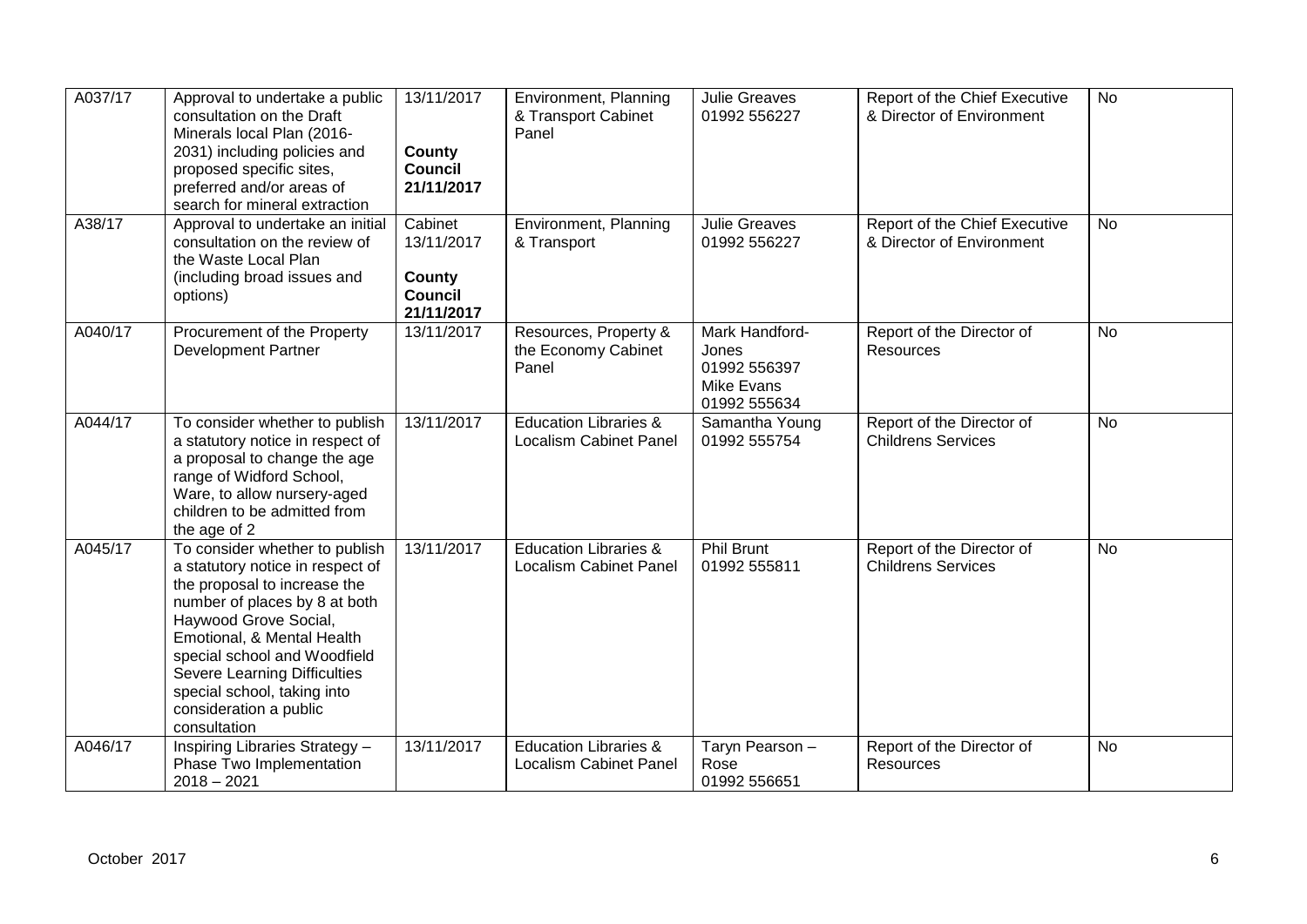| A037/17 | Approval to undertake a public<br>consultation on the Draft<br>Minerals local Plan (2016-<br>2031) including policies and<br>proposed specific sites,<br>preferred and/or areas of<br>search for mineral extraction                                                                                                                        | 13/11/2017<br><b>County</b><br><b>Council</b><br>21/11/2017     | Environment, Planning<br>& Transport Cabinet<br>Panel             | <b>Julie Greaves</b><br>01992 556227                                         | Report of the Chief Executive<br>& Director of Environment | <b>No</b> |
|---------|--------------------------------------------------------------------------------------------------------------------------------------------------------------------------------------------------------------------------------------------------------------------------------------------------------------------------------------------|-----------------------------------------------------------------|-------------------------------------------------------------------|------------------------------------------------------------------------------|------------------------------------------------------------|-----------|
| A38/17  | Approval to undertake an initial<br>consultation on the review of<br>the Waste Local Plan<br>(including broad issues and<br>options)                                                                                                                                                                                                       | Cabinet<br>13/11/2017<br>County<br><b>Council</b><br>21/11/2017 | Environment, Planning<br>& Transport                              | <b>Julie Greaves</b><br>01992 556227                                         | Report of the Chief Executive<br>& Director of Environment | <b>No</b> |
| A040/17 | Procurement of the Property<br><b>Development Partner</b>                                                                                                                                                                                                                                                                                  | 13/11/2017                                                      | Resources, Property &<br>the Economy Cabinet<br>Panel             | Mark Handford-<br>Jones<br>01992 556397<br><b>Mike Evans</b><br>01992 555634 | Report of the Director of<br>Resources                     | No        |
| A044/17 | To consider whether to publish<br>a statutory notice in respect of<br>a proposal to change the age<br>range of Widford School,<br>Ware, to allow nursery-aged<br>children to be admitted from<br>the age of 2                                                                                                                              | 13/11/2017                                                      | <b>Education Libraries &amp;</b><br><b>Localism Cabinet Panel</b> | Samantha Young<br>01992 555754                                               | Report of the Director of<br><b>Childrens Services</b>     | No        |
| A045/17 | To consider whether to publish<br>a statutory notice in respect of<br>the proposal to increase the<br>number of places by 8 at both<br>Haywood Grove Social,<br>Emotional, & Mental Health<br>special school and Woodfield<br><b>Severe Learning Difficulties</b><br>special school, taking into<br>consideration a public<br>consultation | 13/11/2017                                                      | <b>Education Libraries &amp;</b><br><b>Localism Cabinet Panel</b> | <b>Phil Brunt</b><br>01992 555811                                            | Report of the Director of<br><b>Childrens Services</b>     | <b>No</b> |
| A046/17 | <b>Inspiring Libraries Strategy -</b><br>Phase Two Implementation<br>$2018 - 2021$                                                                                                                                                                                                                                                         | 13/11/2017                                                      | <b>Education Libraries &amp;</b><br><b>Localism Cabinet Panel</b> | Taryn Pearson -<br>Rose<br>01992 556651                                      | Report of the Director of<br><b>Resources</b>              | No        |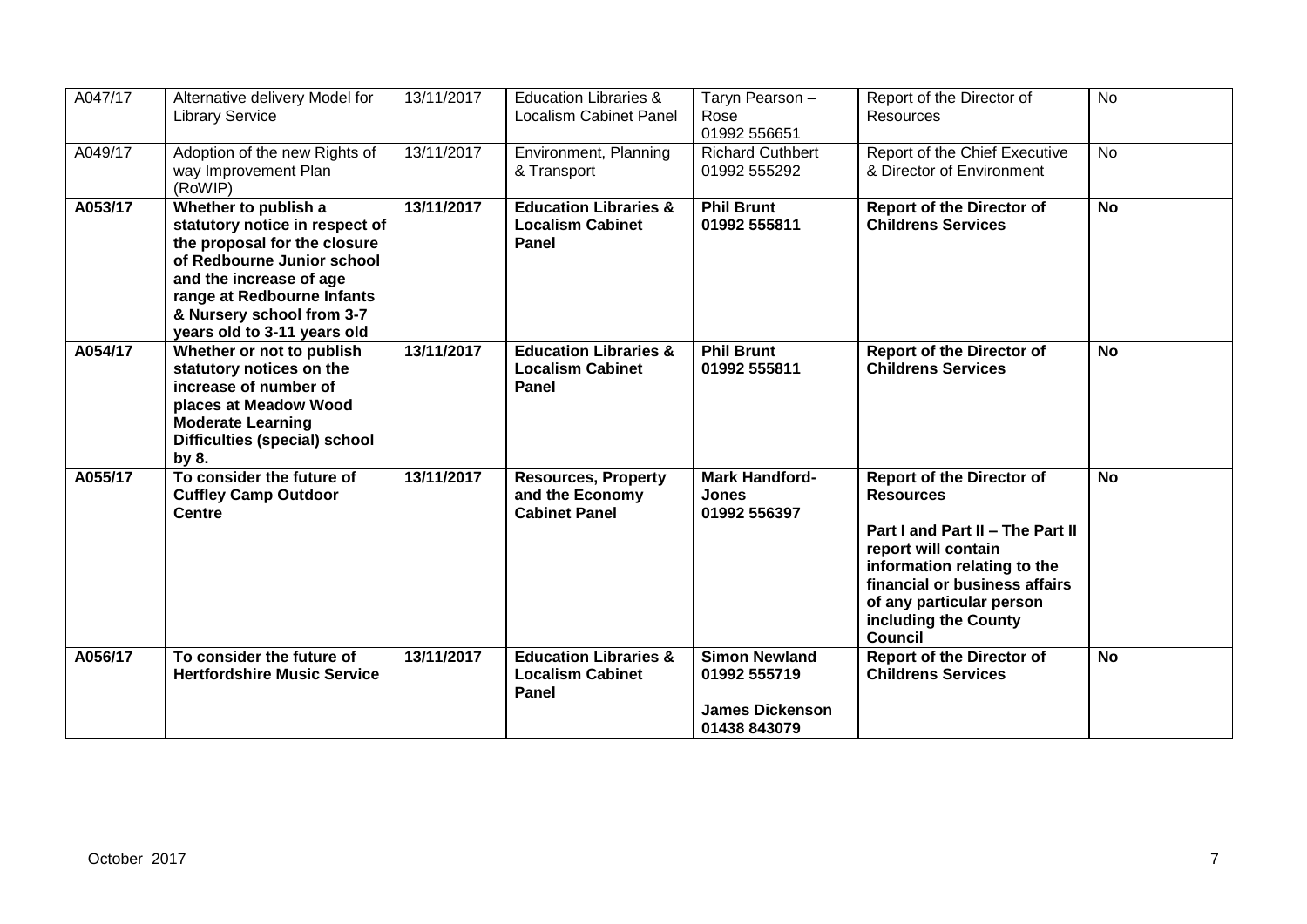| A047/17 | Alternative delivery Model for<br><b>Library Service</b>                                                                                                                                                                                  | 13/11/2017 | <b>Education Libraries &amp;</b><br><b>Localism Cabinet Panel</b>     | Taryn Pearson -<br>Rose<br>01992 556651                                        | Report of the Director of<br>Resources                                                                                                                                                                                                                | <b>No</b> |
|---------|-------------------------------------------------------------------------------------------------------------------------------------------------------------------------------------------------------------------------------------------|------------|-----------------------------------------------------------------------|--------------------------------------------------------------------------------|-------------------------------------------------------------------------------------------------------------------------------------------------------------------------------------------------------------------------------------------------------|-----------|
| A049/17 | Adoption of the new Rights of<br>way Improvement Plan<br>(RoWIP)                                                                                                                                                                          | 13/11/2017 | Environment, Planning<br>& Transport                                  | <b>Richard Cuthbert</b><br>01992 555292                                        | Report of the Chief Executive<br>& Director of Environment                                                                                                                                                                                            | <b>No</b> |
| A053/17 | Whether to publish a<br>statutory notice in respect of<br>the proposal for the closure<br>of Redbourne Junior school<br>and the increase of age<br>range at Redbourne Infants<br>& Nursery school from 3-7<br>years old to 3-11 years old | 13/11/2017 | <b>Education Libraries &amp;</b><br><b>Localism Cabinet</b><br>Panel  | <b>Phil Brunt</b><br>01992 555811                                              | <b>Report of the Director of</b><br><b>Childrens Services</b>                                                                                                                                                                                         | <b>No</b> |
| A054/17 | Whether or not to publish<br>statutory notices on the<br>increase of number of<br>places at Meadow Wood<br><b>Moderate Learning</b><br><b>Difficulties (special) school</b><br>by 8.                                                      | 13/11/2017 | <b>Education Libraries &amp;</b><br><b>Localism Cabinet</b><br>Panel  | <b>Phil Brunt</b><br>01992 555811                                              | <b>Report of the Director of</b><br><b>Childrens Services</b>                                                                                                                                                                                         | <b>No</b> |
| A055/17 | To consider the future of<br><b>Cuffley Camp Outdoor</b><br><b>Centre</b>                                                                                                                                                                 | 13/11/2017 | <b>Resources, Property</b><br>and the Economy<br><b>Cabinet Panel</b> | <b>Mark Handford-</b><br><b>Jones</b><br>01992 556397                          | <b>Report of the Director of</b><br><b>Resources</b><br>Part I and Part II - The Part II<br>report will contain<br>information relating to the<br>financial or business affairs<br>of any particular person<br>including the County<br><b>Council</b> | <b>No</b> |
| A056/17 | To consider the future of<br><b>Hertfordshire Music Service</b>                                                                                                                                                                           | 13/11/2017 | <b>Education Libraries &amp;</b><br><b>Localism Cabinet</b><br>Panel  | <b>Simon Newland</b><br>01992 555719<br><b>James Dickenson</b><br>01438 843079 | <b>Report of the Director of</b><br><b>Childrens Services</b>                                                                                                                                                                                         | <b>No</b> |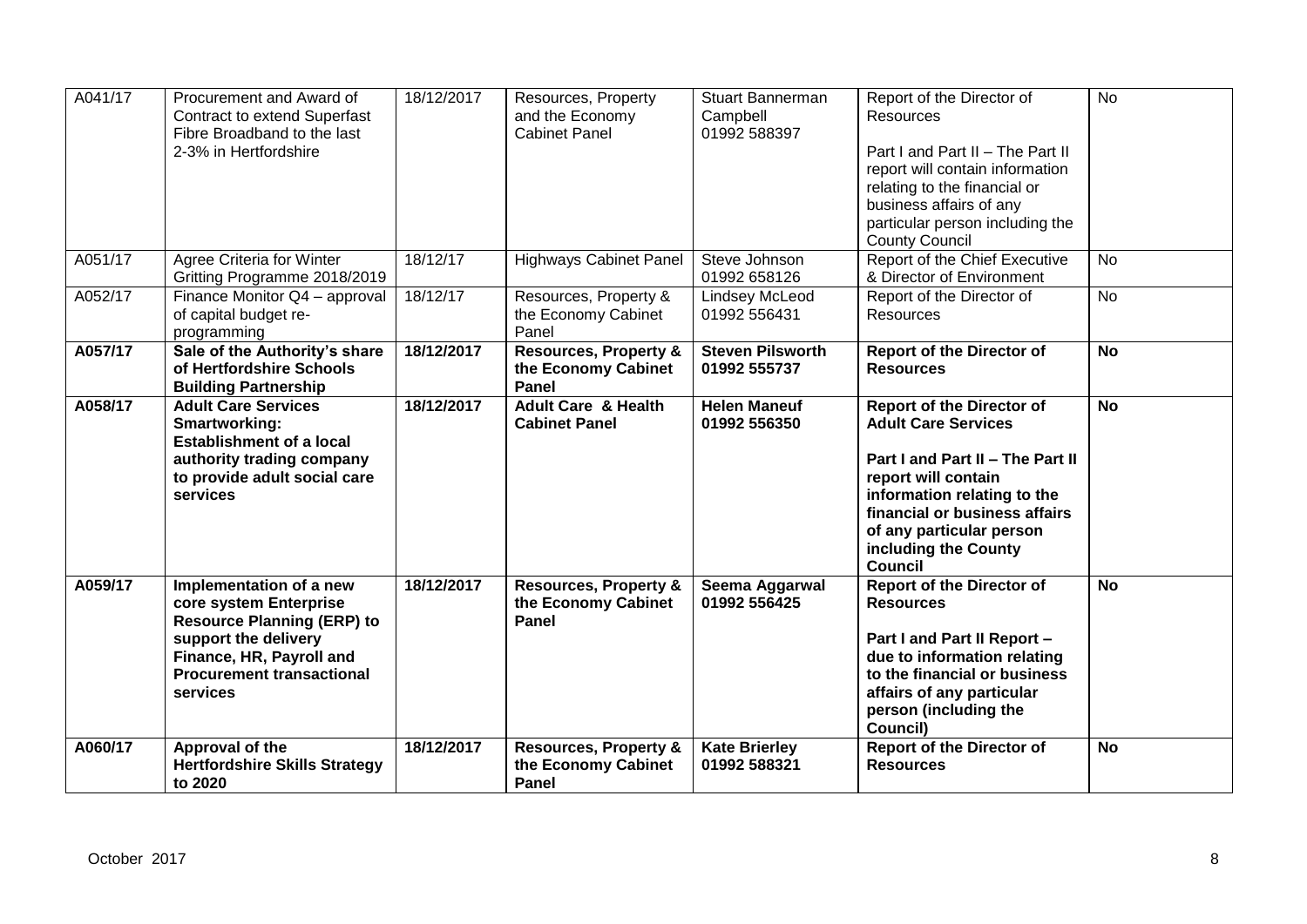| A041/17 | Procurement and Award of<br><b>Contract to extend Superfast</b><br>Fibre Broadband to the last<br>2-3% in Hertfordshire                                                                    | 18/12/2017 | Resources, Property<br>and the Economy<br><b>Cabinet Panel</b>   | <b>Stuart Bannerman</b><br>Campbell<br>01992 588397 | Report of the Director of<br>Resources<br>Part I and Part II - The Part II<br>report will contain information<br>relating to the financial or<br>business affairs of any<br>particular person including the<br><b>County Council</b>                            | <b>No</b> |
|---------|--------------------------------------------------------------------------------------------------------------------------------------------------------------------------------------------|------------|------------------------------------------------------------------|-----------------------------------------------------|-----------------------------------------------------------------------------------------------------------------------------------------------------------------------------------------------------------------------------------------------------------------|-----------|
| A051/17 | Agree Criteria for Winter<br>Gritting Programme 2018/2019                                                                                                                                  | 18/12/17   | <b>Highways Cabinet Panel</b>                                    | Steve Johnson<br>01992 658126                       | Report of the Chief Executive<br>& Director of Environment                                                                                                                                                                                                      | <b>No</b> |
| A052/17 | Finance Monitor Q4 - approval<br>of capital budget re-<br>programming                                                                                                                      | 18/12/17   | Resources, Property &<br>the Economy Cabinet<br>Panel            | <b>Lindsey McLeod</b><br>01992 556431               | Report of the Director of<br>Resources                                                                                                                                                                                                                          | <b>No</b> |
| A057/17 | Sale of the Authority's share<br>of Hertfordshire Schools<br><b>Building Partnership</b>                                                                                                   | 18/12/2017 | <b>Resources, Property &amp;</b><br>the Economy Cabinet<br>Panel | <b>Steven Pilsworth</b><br>01992 555737             | <b>Report of the Director of</b><br><b>Resources</b>                                                                                                                                                                                                            | <b>No</b> |
| A058/17 | <b>Adult Care Services</b><br>Smartworking:<br><b>Establishment of a local</b><br>authority trading company<br>to provide adult social care<br>services                                    | 18/12/2017 | <b>Adult Care &amp; Health</b><br><b>Cabinet Panel</b>           | <b>Helen Maneuf</b><br>01992 556350                 | <b>Report of the Director of</b><br><b>Adult Care Services</b><br>Part I and Part II - The Part II<br>report will contain<br>information relating to the<br>financial or business affairs<br>of any particular person<br>including the County<br><b>Council</b> | <b>No</b> |
| A059/17 | Implementation of a new<br>core system Enterprise<br><b>Resource Planning (ERP) to</b><br>support the delivery<br>Finance, HR, Payroll and<br><b>Procurement transactional</b><br>services | 18/12/2017 | <b>Resources, Property &amp;</b><br>the Economy Cabinet<br>Panel | Seema Aggarwal<br>01992 556425                      | <b>Report of the Director of</b><br><b>Resources</b><br>Part I and Part II Report -<br>due to information relating<br>to the financial or business<br>affairs of any particular<br>person (including the<br>Council)                                            | <b>No</b> |
| A060/17 | Approval of the<br><b>Hertfordshire Skills Strategy</b><br>to 2020                                                                                                                         | 18/12/2017 | <b>Resources, Property &amp;</b><br>the Economy Cabinet<br>Panel | <b>Kate Brierley</b><br>01992 588321                | <b>Report of the Director of</b><br><b>Resources</b>                                                                                                                                                                                                            | <b>No</b> |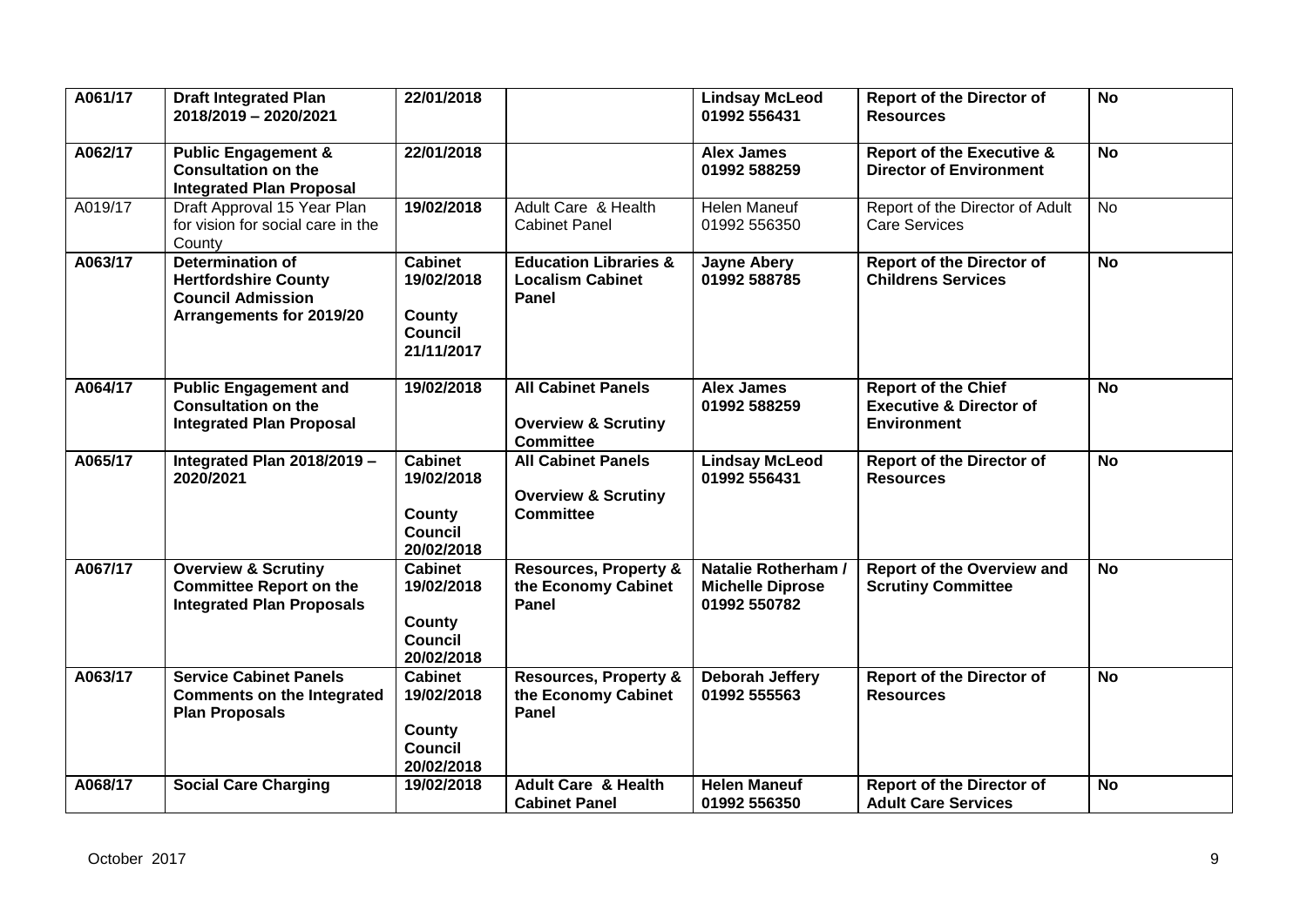| A061/17 | <b>Draft Integrated Plan</b><br>2018/2019 - 2020/2021                                                          | 22/01/2018                                                             |                                                                                 | <b>Lindsay McLeod</b><br>01992 556431                          | <b>Report of the Director of</b><br><b>Resources</b>                                   | <b>No</b>      |
|---------|----------------------------------------------------------------------------------------------------------------|------------------------------------------------------------------------|---------------------------------------------------------------------------------|----------------------------------------------------------------|----------------------------------------------------------------------------------------|----------------|
| A062/17 | <b>Public Engagement &amp;</b><br><b>Consultation on the</b><br><b>Integrated Plan Proposal</b>                | 22/01/2018                                                             |                                                                                 | <b>Alex James</b><br>01992 588259                              | <b>Report of the Executive &amp;</b><br><b>Director of Environment</b>                 | $\overline{N}$ |
| A019/17 | Draft Approval 15 Year Plan<br>for vision for social care in the<br>County                                     | 19/02/2018                                                             | Adult Care & Health<br><b>Cabinet Panel</b>                                     | Helen Maneuf<br>01992 556350                                   | Report of the Director of Adult<br><b>Care Services</b>                                | No             |
| A063/17 | <b>Determination of</b><br><b>Hertfordshire County</b><br><b>Council Admission</b><br>Arrangements for 2019/20 | <b>Cabinet</b><br>19/02/2018<br>County<br><b>Council</b><br>21/11/2017 | <b>Education Libraries &amp;</b><br><b>Localism Cabinet</b><br>Panel            | <b>Jayne Abery</b><br>01992 588785                             | <b>Report of the Director of</b><br><b>Childrens Services</b>                          | <b>No</b>      |
| A064/17 | <b>Public Engagement and</b><br><b>Consultation on the</b><br><b>Integrated Plan Proposal</b>                  | 19/02/2018                                                             | <b>All Cabinet Panels</b><br><b>Overview &amp; Scrutiny</b><br><b>Committee</b> | <b>Alex James</b><br>01992 588259                              | <b>Report of the Chief</b><br><b>Executive &amp; Director of</b><br><b>Environment</b> | <b>No</b>      |
| A065/17 | Integrated Plan 2018/2019 -<br>2020/2021                                                                       | <b>Cabinet</b><br>19/02/2018<br>County<br><b>Council</b><br>20/02/2018 | <b>All Cabinet Panels</b><br><b>Overview &amp; Scrutiny</b><br><b>Committee</b> | <b>Lindsay McLeod</b><br>01992 556431                          | <b>Report of the Director of</b><br><b>Resources</b>                                   | <b>No</b>      |
| A067/17 | <b>Overview &amp; Scrutiny</b><br><b>Committee Report on the</b><br><b>Integrated Plan Proposals</b>           | <b>Cabinet</b><br>19/02/2018<br>County<br><b>Council</b><br>20/02/2018 | <b>Resources, Property &amp;</b><br>the Economy Cabinet<br>Panel                | Natalie Rotherham /<br><b>Michelle Diprose</b><br>01992 550782 | <b>Report of the Overview and</b><br><b>Scrutiny Committee</b>                         | <b>No</b>      |
| A063/17 | <b>Service Cabinet Panels</b><br><b>Comments on the Integrated</b><br><b>Plan Proposals</b>                    | <b>Cabinet</b><br>19/02/2018<br>County<br><b>Council</b><br>20/02/2018 | <b>Resources, Property &amp;</b><br>the Economy Cabinet<br>Panel                | Deborah Jeffery<br>01992 555563                                | <b>Report of the Director of</b><br><b>Resources</b>                                   | <b>No</b>      |
| A068/17 | <b>Social Care Charging</b>                                                                                    | 19/02/2018                                                             | <b>Adult Care &amp; Health</b><br><b>Cabinet Panel</b>                          | <b>Helen Maneuf</b><br>01992 556350                            | <b>Report of the Director of</b><br><b>Adult Care Services</b>                         | <b>No</b>      |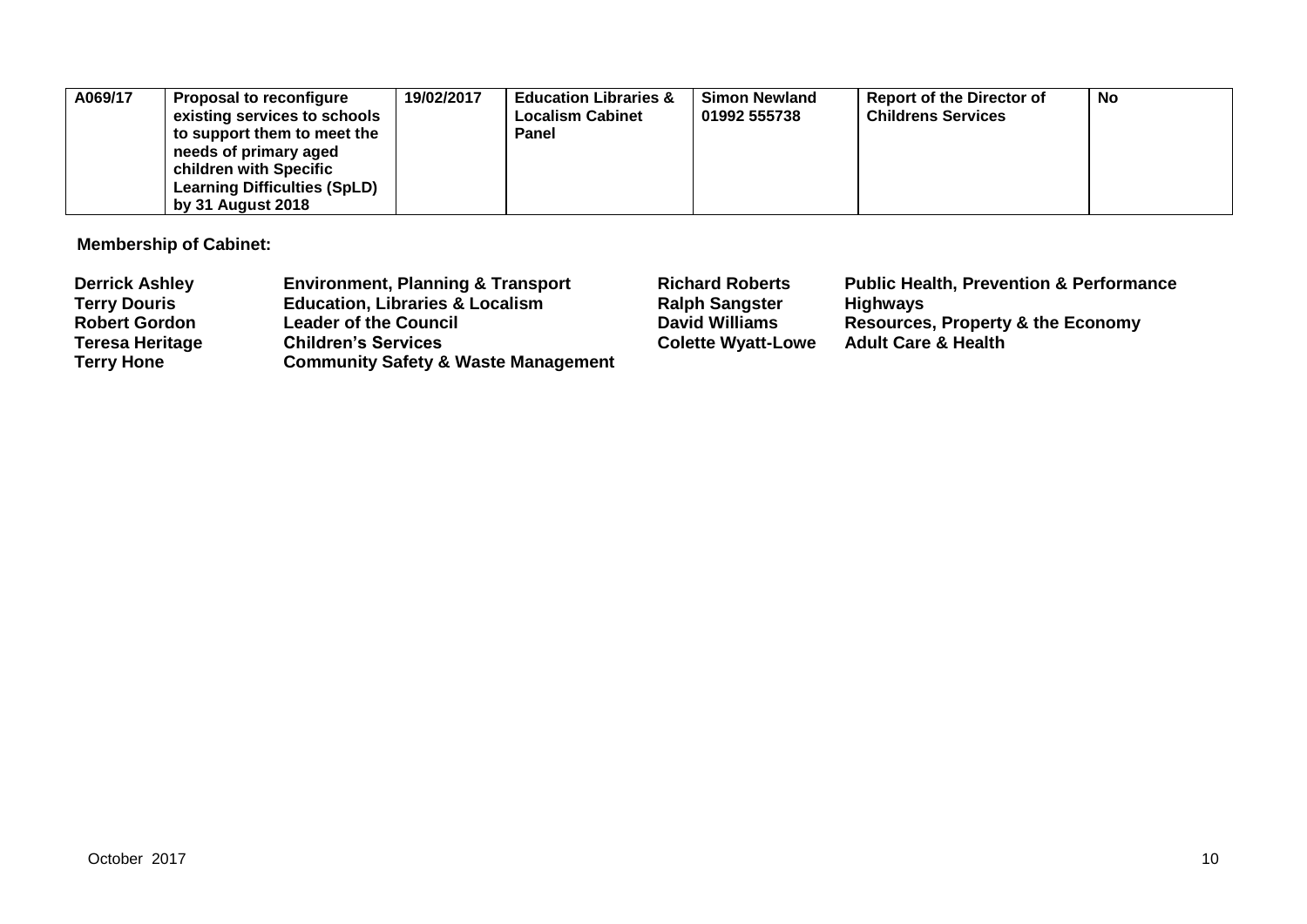| A069/17<br>needs of primary aged<br>children with Specific<br>by 31 August 2018 | 19/02/2017<br><b>Proposal to reconfigure</b><br>existing services to schools<br>to support them to meet the<br><b>Learning Difficulties (SpLD)</b> | <b>Education Libraries &amp;</b><br><b>Localism Cabinet</b><br>Panel | <b>Simon Newland</b><br>01992 555738 | <b>Report of the Director of</b><br><b>Childrens Services</b> | <b>No</b> |
|---------------------------------------------------------------------------------|----------------------------------------------------------------------------------------------------------------------------------------------------|----------------------------------------------------------------------|--------------------------------------|---------------------------------------------------------------|-----------|
|---------------------------------------------------------------------------------|----------------------------------------------------------------------------------------------------------------------------------------------------|----------------------------------------------------------------------|--------------------------------------|---------------------------------------------------------------|-----------|

**Membership of Cabinet:** 

| <b>Derrick Ashley</b>  | <b>Environment, Planning &amp; Transport</b>   | <b>Richard Roberts</b>    | <b>Public Health, Prevention &amp; Performance</b> |
|------------------------|------------------------------------------------|---------------------------|----------------------------------------------------|
| <b>Terry Douris</b>    | <b>Education, Libraries &amp; Localism</b>     | <b>Ralph Sangster</b>     | <b>Highways</b>                                    |
| <b>Robert Gordon</b>   | <b>Leader of the Council</b>                   | <b>David Williams</b>     | <b>Resources, Property &amp; the Economy</b>       |
| <b>Teresa Heritage</b> | <b>Children's Services</b>                     | <b>Colette Wyatt-Lowe</b> | <b>Adult Care &amp; Health</b>                     |
| <b>Terry Hone</b>      | <b>Community Safety &amp; Waste Management</b> |                           |                                                    |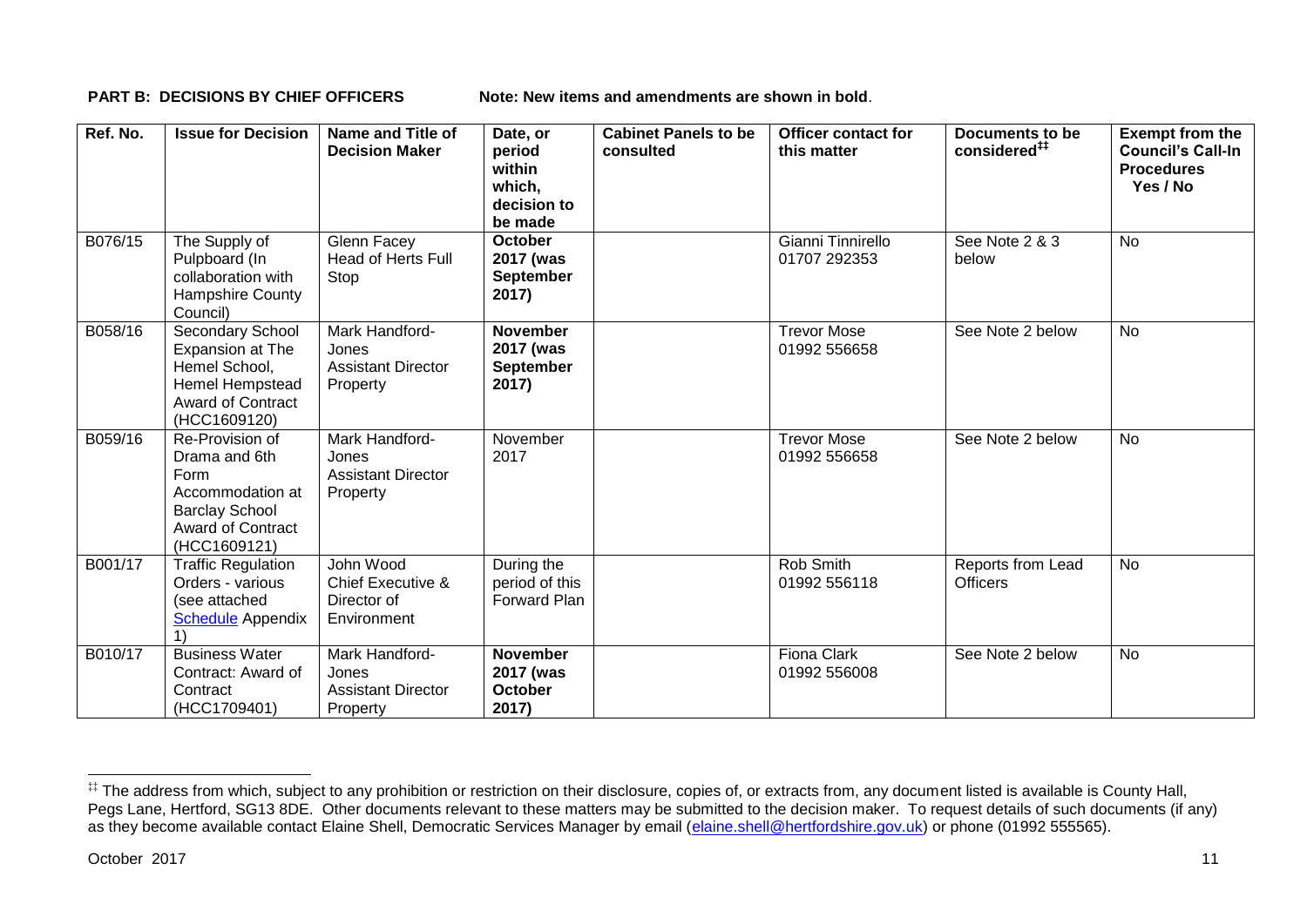**PART B: DECISIONS BY CHIEF OFFICERS Note: New items and amendments are shown in bold.** 

| Ref. No. | <b>Issue for Decision</b>                                                                                                         | Name and Title of<br><b>Decision Maker</b>                       | Date, or<br>period<br>within<br>which,<br>decision to<br>be made | <b>Cabinet Panels to be</b><br>consulted | <b>Officer contact for</b><br>this matter | Documents to be<br>considered <sup>##</sup> | <b>Exempt from the</b><br><b>Council's Call-In</b><br><b>Procedures</b><br>Yes / No |
|----------|-----------------------------------------------------------------------------------------------------------------------------------|------------------------------------------------------------------|------------------------------------------------------------------|------------------------------------------|-------------------------------------------|---------------------------------------------|-------------------------------------------------------------------------------------|
| B076/15  | The Supply of<br>Pulpboard (In<br>collaboration with<br><b>Hampshire County</b><br>Council)                                       | Glenn Facey<br><b>Head of Herts Full</b><br>Stop                 | <b>October</b><br>2017 (was<br><b>September</b><br>2017)         |                                          | Gianni Tinnirello<br>01707 292353         | See Note 2 & 3<br>below                     | <b>No</b>                                                                           |
| B058/16  | <b>Secondary School</b><br>Expansion at The<br>Hemel School,<br>Hemel Hempstead<br>Award of Contract<br>(HCC1609120)              | Mark Handford-<br>Jones<br><b>Assistant Director</b><br>Property | <b>November</b><br>2017 (was<br><b>September</b><br>2017)        |                                          | <b>Trevor Mose</b><br>01992 556658        | See Note 2 below                            | <b>No</b>                                                                           |
| B059/16  | Re-Provision of<br>Drama and 6th<br>Form<br>Accommodation at<br><b>Barclay School</b><br><b>Award of Contract</b><br>(HCC1609121) | Mark Handford-<br>Jones<br><b>Assistant Director</b><br>Property | November<br>2017                                                 |                                          | <b>Trevor Mose</b><br>01992 556658        | See Note 2 below                            | <b>No</b>                                                                           |
| B001/17  | <b>Traffic Regulation</b><br>Orders - various<br>(see attached<br><b>Schedule Appendix</b>                                        | John Wood<br>Chief Executive &<br>Director of<br>Environment     | During the<br>period of this<br>Forward Plan                     |                                          | Rob Smith<br>01992 556118                 | Reports from Lead<br><b>Officers</b>        | <b>No</b>                                                                           |
| B010/17  | <b>Business Water</b><br>Contract: Award of<br>Contract<br>(HCC1709401)                                                           | Mark Handford-<br>Jones<br><b>Assistant Director</b><br>Property | <b>November</b><br>2017 (was<br><b>October</b><br>2017)          |                                          | <b>Fiona Clark</b><br>01992 556008        | See Note 2 below                            | No                                                                                  |

1

<sup>‡‡</sup> The address from which, subject to any prohibition or restriction on their disclosure, copies of, or extracts from, any document listed is available is County Hall, Pegs Lane, Hertford, SG13 8DE. Other documents relevant to these matters may be submitted to the decision maker. To request details of such documents (if any) as they become available contact Elaine Shell, Democratic Services Manager by email [\(elaine.shell@hertfordshire.gov.uk\)](mailto:elaine.shell@hertfordshire.gov.uk) or phone (01992 55565).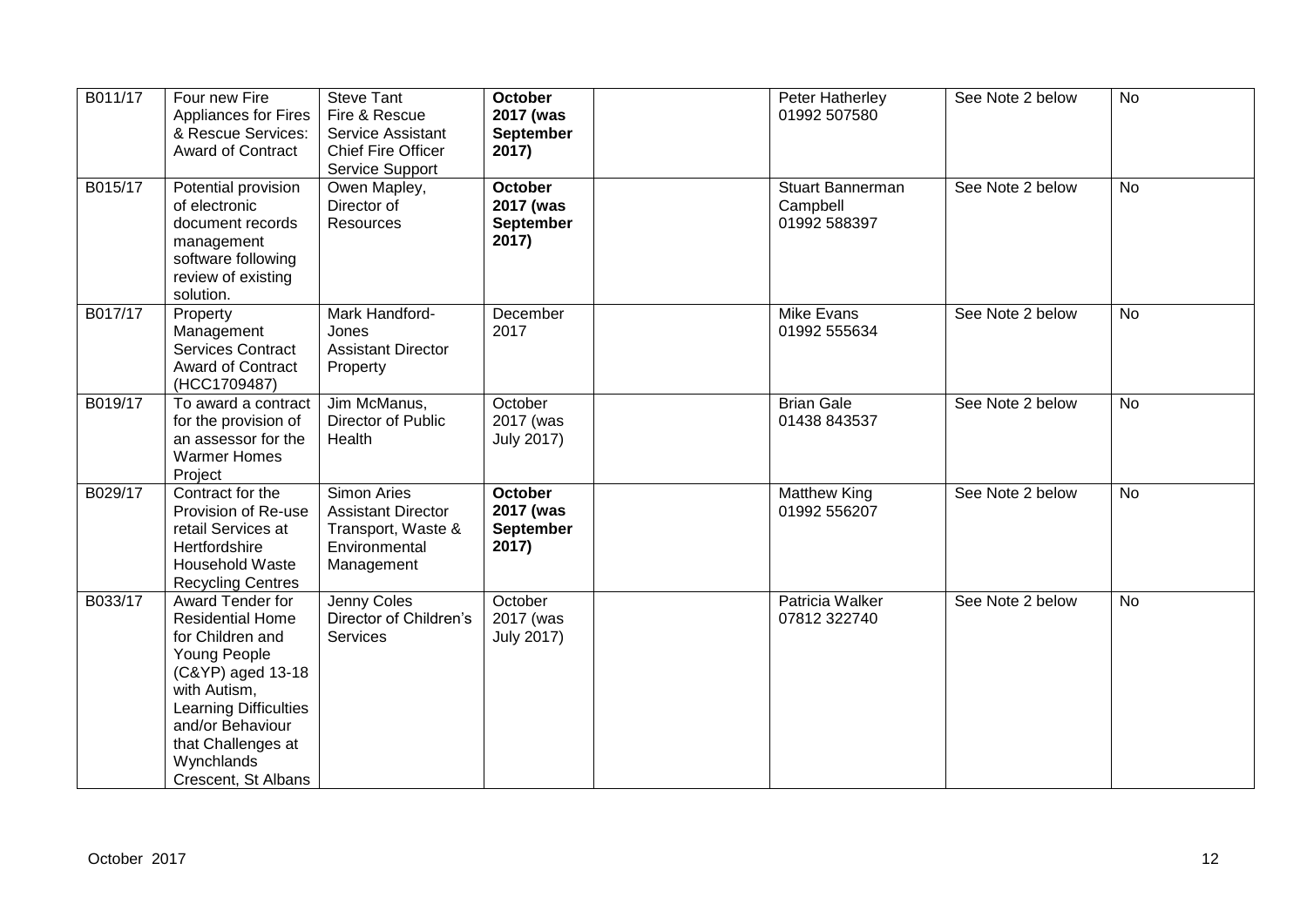| B011/17 | Four new Fire<br><b>Appliances for Fires</b><br>& Rescue Services:<br><b>Award of Contract</b>                                                                                                                                      | <b>Steve Tant</b><br>Fire & Rescue<br>Service Assistant<br><b>Chief Fire Officer</b><br>Service Support | <b>October</b><br>2017 (was<br>September<br>2017)        | Peter Hatherley<br>01992 507580                     | See Note 2 below | <b>No</b> |
|---------|-------------------------------------------------------------------------------------------------------------------------------------------------------------------------------------------------------------------------------------|---------------------------------------------------------------------------------------------------------|----------------------------------------------------------|-----------------------------------------------------|------------------|-----------|
| B015/17 | Potential provision<br>of electronic<br>document records<br>management<br>software following<br>review of existing<br>solution.                                                                                                     | Owen Mapley,<br>Director of<br>Resources                                                                | <b>October</b><br>2017 (was<br><b>September</b><br>2017) | <b>Stuart Bannerman</b><br>Campbell<br>01992 588397 | See Note 2 below | <b>No</b> |
| B017/17 | Property<br>Management<br>Services Contract<br><b>Award of Contract</b><br>(HCC1709487)                                                                                                                                             | Mark Handford-<br>Jones<br><b>Assistant Director</b><br>Property                                        | December<br>2017                                         | Mike Evans<br>01992 555634                          | See Note 2 below | No        |
| B019/17 | To award a contract<br>for the provision of<br>an assessor for the<br><b>Warmer Homes</b><br>Project                                                                                                                                | Jim McManus,<br>Director of Public<br>Health                                                            | October<br>2017 (was<br><b>July 2017)</b>                | <b>Brian Gale</b><br>01438 843537                   | See Note 2 below | <b>No</b> |
| B029/17 | Contract for the<br>Provision of Re-use<br>retail Services at<br>Hertfordshire<br>Household Waste<br><b>Recycling Centres</b>                                                                                                       | <b>Simon Aries</b><br><b>Assistant Director</b><br>Transport, Waste &<br>Environmental<br>Management    | <b>October</b><br>2017 (was<br><b>September</b><br>2017) | <b>Matthew King</b><br>01992 556207                 | See Note 2 below | <b>No</b> |
| B033/17 | Award Tender for<br><b>Residential Home</b><br>for Children and<br>Young People<br>(C&YP) aged 13-18<br>with Autism,<br><b>Learning Difficulties</b><br>and/or Behaviour<br>that Challenges at<br>Wynchlands<br>Crescent, St Albans | Jenny Coles<br>Director of Children's<br>Services                                                       | October<br>2017 (was<br><b>July 2017)</b>                | Patricia Walker<br>07812 322740                     | See Note 2 below | <b>No</b> |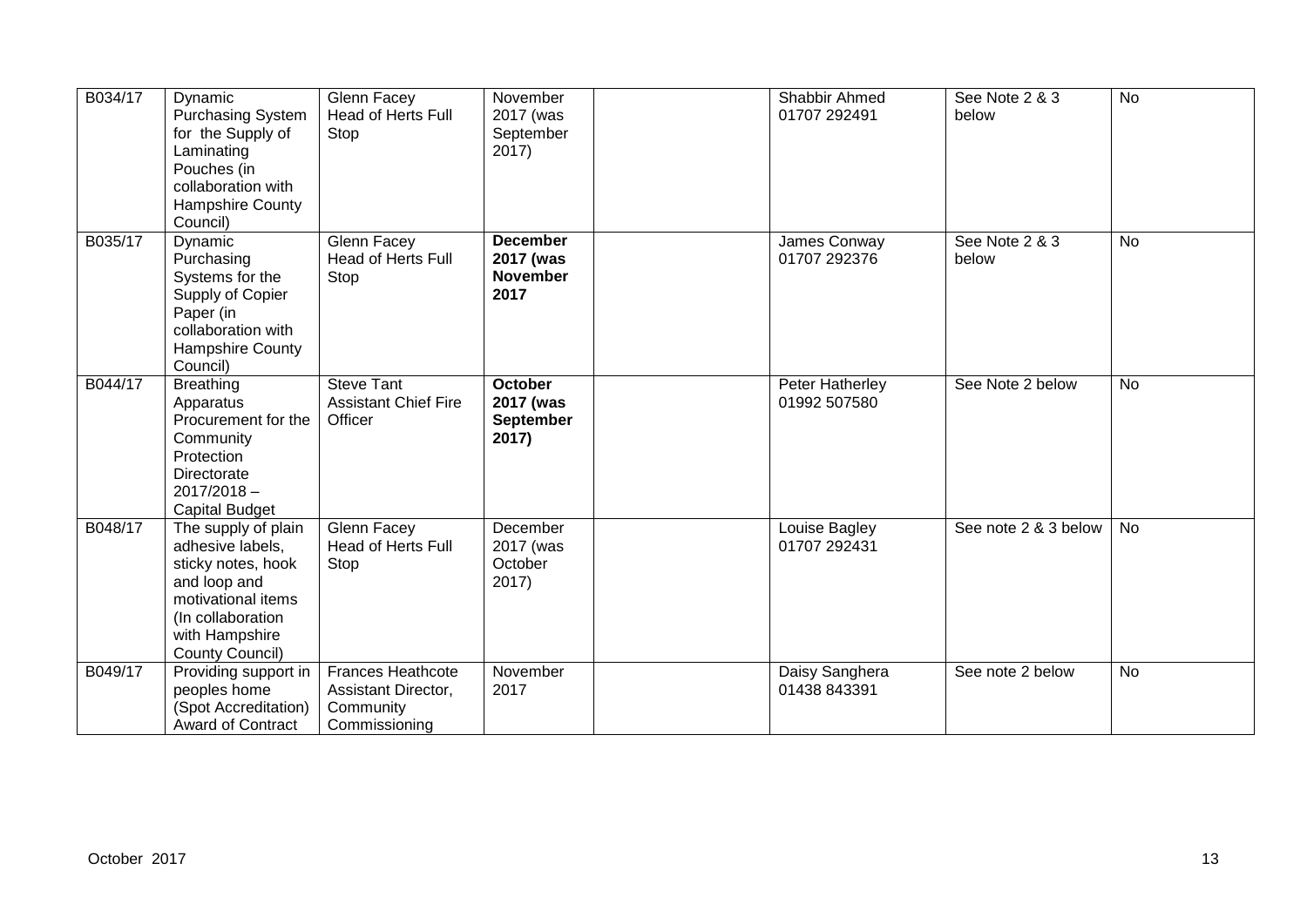| B034/17 | Dynamic<br><b>Purchasing System</b><br>for the Supply of<br>Laminating<br>Pouches (in<br>collaboration with<br>Hampshire County<br>Council)                   | Glenn Facey<br>Head of Herts Full<br>Stop                                     | November<br>2017 (was<br>September<br>2017)             | Shabbir Ahmed<br>01707 292491   | See Note 2 & 3<br>below | <b>No</b> |
|---------|---------------------------------------------------------------------------------------------------------------------------------------------------------------|-------------------------------------------------------------------------------|---------------------------------------------------------|---------------------------------|-------------------------|-----------|
| B035/17 | Dynamic<br>Purchasing<br>Systems for the<br>Supply of Copier<br>Paper (in<br>collaboration with<br>Hampshire County<br>Council)                               | Glenn Facey<br>Head of Herts Full<br>Stop                                     | <b>December</b><br>2017 (was<br><b>November</b><br>2017 | James Conway<br>01707 292376    | See Note 2 & 3<br>below | No        |
| B044/17 | <b>Breathing</b><br>Apparatus<br>Procurement for the<br>Community<br>Protection<br>Directorate<br>$2017/2018 -$<br><b>Capital Budget</b>                      | <b>Steve Tant</b><br><b>Assistant Chief Fire</b><br>Officer                   | <b>October</b><br>2017 (was<br>September<br>2017)       | Peter Hatherley<br>01992 507580 | See Note 2 below        | <b>No</b> |
| B048/17 | The supply of plain<br>adhesive labels.<br>sticky notes, hook<br>and loop and<br>motivational items<br>(In collaboration<br>with Hampshire<br>County Council) | Glenn Facey<br><b>Head of Herts Full</b><br>Stop                              | December<br>2017 (was<br>October<br>2017)               | Louise Bagley<br>01707 292431   | See note 2 & 3 below    | No        |
| B049/17 | Providing support in<br>peoples home<br>(Spot Accreditation)<br><b>Award of Contract</b>                                                                      | <b>Frances Heathcote</b><br>Assistant Director,<br>Community<br>Commissioning | November<br>2017                                        | Daisy Sanghera<br>01438 843391  | See note 2 below        | No        |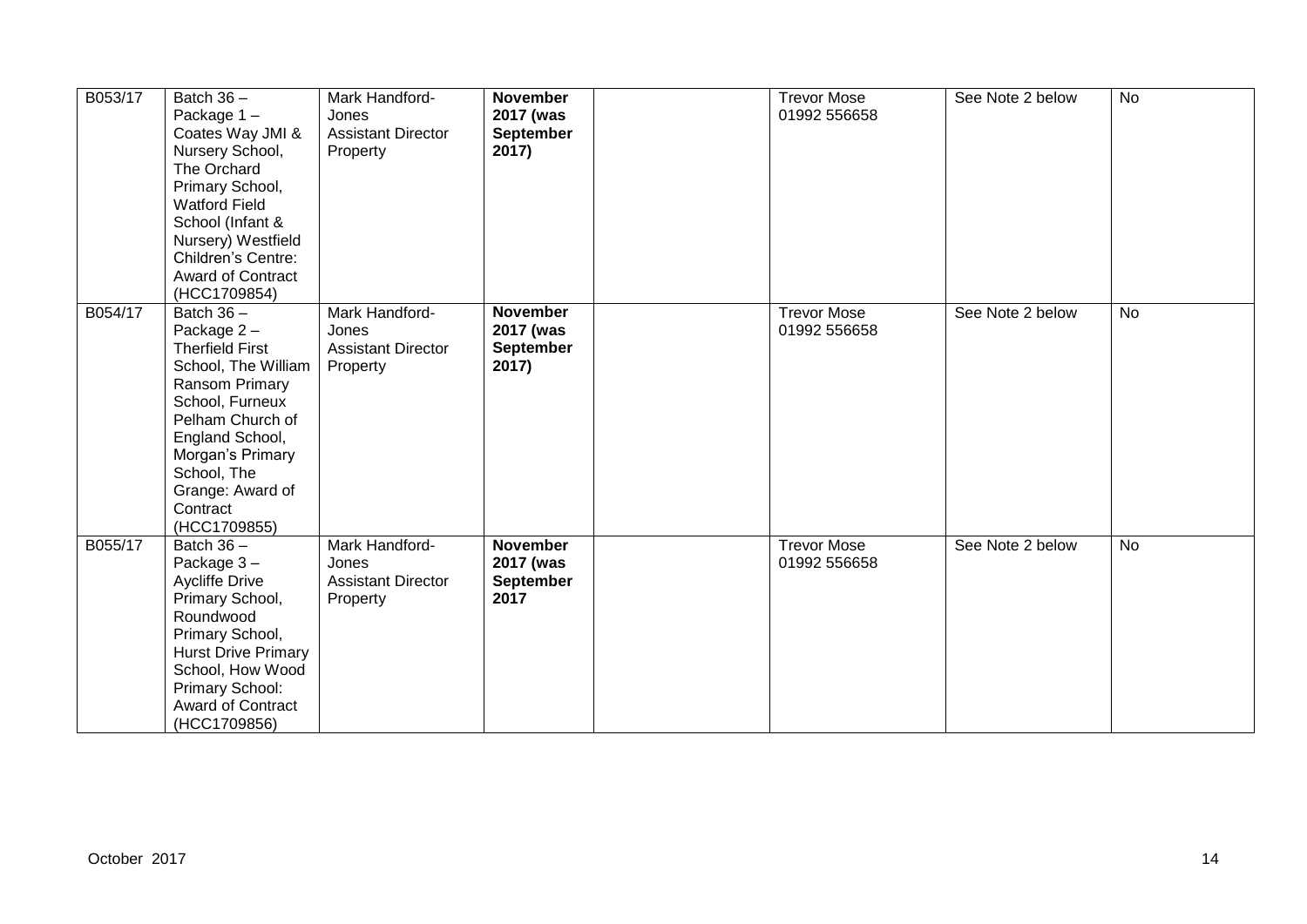| B053/17 | Batch $36 -$<br>Package 1-<br>Coates Way JMI &<br>Nursery School,<br>The Orchard<br>Primary School,<br><b>Watford Field</b><br>School (Infant &<br>Nursery) Westfield<br>Children's Centre:<br><b>Award of Contract</b><br>(HCC1709854)       | Mark Handford-<br>Jones<br><b>Assistant Director</b><br>Property | <b>November</b><br>2017 (was<br>September<br>2017) | <b>Trevor Mose</b><br>01992 556658 | See Note 2 below | <b>No</b> |
|---------|-----------------------------------------------------------------------------------------------------------------------------------------------------------------------------------------------------------------------------------------------|------------------------------------------------------------------|----------------------------------------------------|------------------------------------|------------------|-----------|
| B054/17 | Batch $36 -$<br>Package $2 -$<br><b>Therfield First</b><br>School, The William<br>Ransom Primary<br>School, Furneux<br>Pelham Church of<br>England School,<br>Morgan's Primary<br>School, The<br>Grange: Award of<br>Contract<br>(HCC1709855) | Mark Handford-<br>Jones<br><b>Assistant Director</b><br>Property | <b>November</b><br>2017 (was<br>September<br>2017) | <b>Trevor Mose</b><br>01992 556658 | See Note 2 below | <b>No</b> |
| B055/17 | Batch $36 -$<br>Package 3-<br>Aycliffe Drive<br>Primary School,<br>Roundwood<br>Primary School,<br><b>Hurst Drive Primary</b><br>School, How Wood<br>Primary School:<br>Award of Contract<br>(HCC1709856)                                     | Mark Handford-<br>Jones<br><b>Assistant Director</b><br>Property | <b>November</b><br>2017 (was<br>September<br>2017  | <b>Trevor Mose</b><br>01992 556658 | See Note 2 below | No        |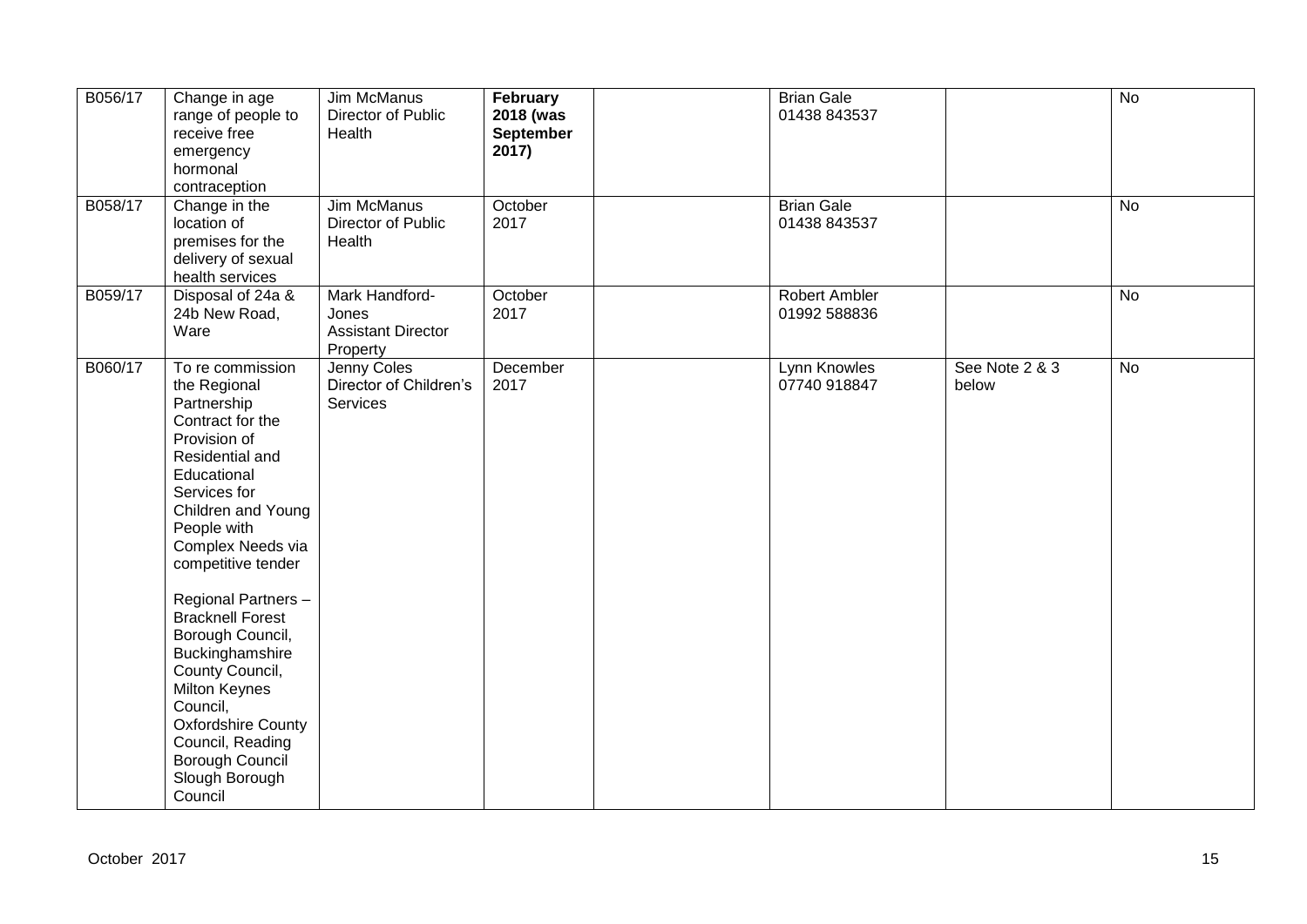| B056/17 | Change in age<br>range of people to<br>receive free<br>emergency<br>hormonal<br>contraception                                                                                                                                                                                                                                                                                                                                                                   | <b>Jim McManus</b><br>Director of Public<br>Health               | February<br>2018 (was<br>September<br>2017) | <b>Brian Gale</b><br>01438 843537    |                         | $\overline{N}$ |
|---------|-----------------------------------------------------------------------------------------------------------------------------------------------------------------------------------------------------------------------------------------------------------------------------------------------------------------------------------------------------------------------------------------------------------------------------------------------------------------|------------------------------------------------------------------|---------------------------------------------|--------------------------------------|-------------------------|----------------|
| B058/17 | Change in the<br>location of<br>premises for the<br>delivery of sexual<br>health services                                                                                                                                                                                                                                                                                                                                                                       | <b>Jim McManus</b><br>Director of Public<br>Health               | October<br>2017                             | <b>Brian Gale</b><br>01438 843537    |                         | No             |
| B059/17 | Disposal of 24a &<br>24b New Road,<br>Ware                                                                                                                                                                                                                                                                                                                                                                                                                      | Mark Handford-<br>Jones<br><b>Assistant Director</b><br>Property | October<br>2017                             | <b>Robert Ambler</b><br>01992 588836 |                         | $\overline{N}$ |
| B060/17 | To re commission<br>the Regional<br>Partnership<br>Contract for the<br>Provision of<br>Residential and<br>Educational<br>Services for<br>Children and Young<br>People with<br>Complex Needs via<br>competitive tender<br>Regional Partners -<br><b>Bracknell Forest</b><br>Borough Council,<br>Buckinghamshire<br>County Council,<br>Milton Keynes<br>Council,<br><b>Oxfordshire County</b><br>Council, Reading<br>Borough Council<br>Slough Borough<br>Council | Jenny Coles<br>Director of Children's<br><b>Services</b>         | December<br>2017                            | Lynn Knowles<br>07740 918847         | See Note 2 & 3<br>below | No             |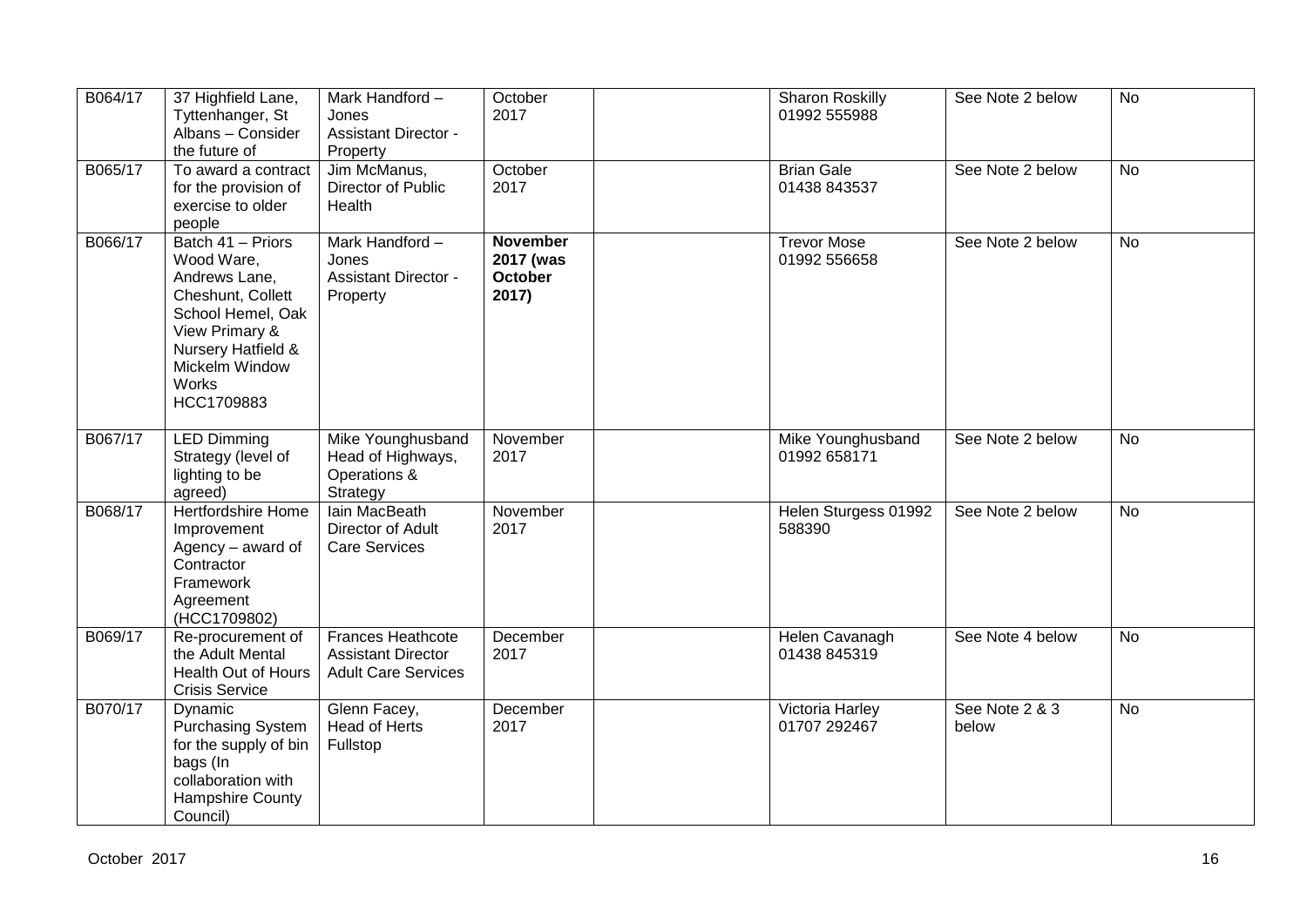| B064/17 | 37 Highfield Lane,<br>Tyttenhanger, St<br>Albans - Consider<br>the future of                                                                                                           | Mark Handford -<br>Jones<br><b>Assistant Director -</b><br>Property                 | October<br>2017                                  | Sharon Roskilly<br>01992 555988    | See Note 2 below        | <b>No</b>      |
|---------|----------------------------------------------------------------------------------------------------------------------------------------------------------------------------------------|-------------------------------------------------------------------------------------|--------------------------------------------------|------------------------------------|-------------------------|----------------|
| B065/17 | To award a contract<br>for the provision of<br>exercise to older<br>people                                                                                                             | Jim McManus,<br>Director of Public<br>Health                                        | October<br>2017                                  | <b>Brian Gale</b><br>01438 843537  | See Note 2 below        | <b>No</b>      |
| B066/17 | Batch 41 - Priors<br>Wood Ware,<br>Andrews Lane,<br>Cheshunt, Collett<br>School Hemel, Oak<br>View Primary &<br><b>Nursery Hatfield &amp;</b><br>Mickelm Window<br>Works<br>HCC1709883 | Mark Handford-<br>Jones<br><b>Assistant Director -</b><br>Property                  | <b>November</b><br>2017 (was<br>October<br>2017) | <b>Trevor Mose</b><br>01992 556658 | See Note 2 below        | <b>No</b>      |
| B067/17 | <b>LED Dimming</b><br>Strategy (level of<br>lighting to be<br>agreed)                                                                                                                  | Mike Younghusband<br>Head of Highways,<br>Operations &<br>Strategy                  | November<br>2017                                 | Mike Younghusband<br>01992 658171  | See Note 2 below        | <b>No</b>      |
| B068/17 | <b>Hertfordshire Home</b><br>Improvement<br>Agency - award of<br>Contractor<br>Framework<br>Agreement<br>(HCC1709802)                                                                  | lain MacBeath<br>Director of Adult<br><b>Care Services</b>                          | November<br>2017                                 | Helen Sturgess 01992<br>588390     | See Note 2 below        | $\overline{N}$ |
| B069/17 | Re-procurement of<br>the Adult Mental<br>Health Out of Hours<br><b>Crisis Service</b>                                                                                                  | <b>Frances Heathcote</b><br><b>Assistant Director</b><br><b>Adult Care Services</b> | December<br>2017                                 | Helen Cavanagh<br>01438 845319     | See Note 4 below        | No             |
| B070/17 | Dynamic<br><b>Purchasing System</b><br>for the supply of bin<br>bags (In<br>collaboration with<br>Hampshire County<br>Council)                                                         | Glenn Facey,<br>Head of Herts<br>Fullstop                                           | December<br>2017                                 | Victoria Harley<br>01707 292467    | See Note 2 & 3<br>below | <b>No</b>      |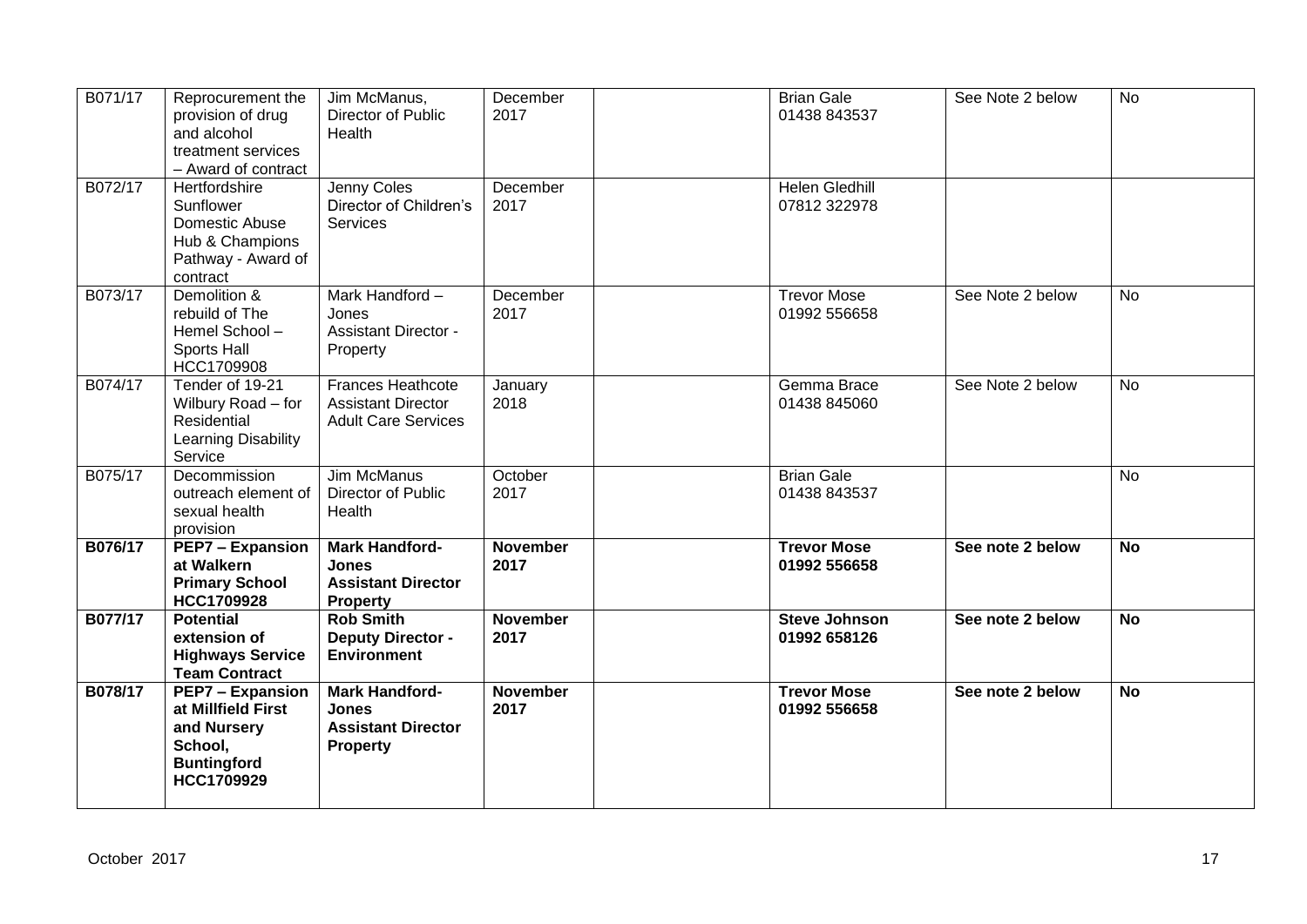| B071/17 | Reprocurement the<br>provision of drug<br>and alcohol<br>treatment services<br>- Award of contract          | Jim McManus,<br>Director of Public<br><b>Health</b>                                   | December<br>2017        | <b>Brian Gale</b><br>01438 843537     | See Note 2 below | <b>No</b> |
|---------|-------------------------------------------------------------------------------------------------------------|---------------------------------------------------------------------------------------|-------------------------|---------------------------------------|------------------|-----------|
| B072/17 | Hertfordshire<br>Sunflower<br>Domestic Abuse<br>Hub & Champions<br>Pathway - Award of<br>contract           | Jenny Coles<br>Director of Children's<br><b>Services</b>                              | December<br>2017        | <b>Helen Gledhill</b><br>07812 322978 |                  |           |
| B073/17 | Demolition &<br>rebuild of The<br>Hemel School-<br><b>Sports Hall</b><br>HCC1709908                         | Mark Handford-<br>Jones<br><b>Assistant Director -</b><br>Property                    | December<br>2017        | <b>Trevor Mose</b><br>01992 556658    | See Note 2 below | <b>No</b> |
| B074/17 | Tender of 19-21<br>Wilbury Road - for<br>Residential<br>Learning Disability<br>Service                      | <b>Frances Heathcote</b><br><b>Assistant Director</b><br><b>Adult Care Services</b>   | January<br>2018         | Gemma Brace<br>01438 845060           | See Note 2 below | <b>No</b> |
| B075/17 | Decommission<br>outreach element of<br>sexual health<br>provision                                           | Jim McManus<br>Director of Public<br>Health                                           | October<br>2017         | <b>Brian Gale</b><br>01438 843537     |                  | <b>No</b> |
| B076/17 | <b>PEP7 - Expansion</b><br>at Walkern<br><b>Primary School</b><br>HCC1709928                                | <b>Mark Handford-</b><br>Jones<br><b>Assistant Director</b><br><b>Property</b>        | <b>November</b><br>2017 | <b>Trevor Mose</b><br>01992 556658    | See note 2 below | <b>No</b> |
| B077/17 | <b>Potential</b><br>extension of<br><b>Highways Service</b><br><b>Team Contract</b>                         | <b>Rob Smith</b><br><b>Deputy Director -</b><br><b>Environment</b>                    | <b>November</b><br>2017 | <b>Steve Johnson</b><br>01992 658126  | See note 2 below | <b>No</b> |
| B078/17 | <b>PEP7 - Expansion</b><br>at Millfield First<br>and Nursery<br>School,<br><b>Buntingford</b><br>HCC1709929 | <b>Mark Handford-</b><br><b>Jones</b><br><b>Assistant Director</b><br><b>Property</b> | <b>November</b><br>2017 | <b>Trevor Mose</b><br>01992 556658    | See note 2 below | <b>No</b> |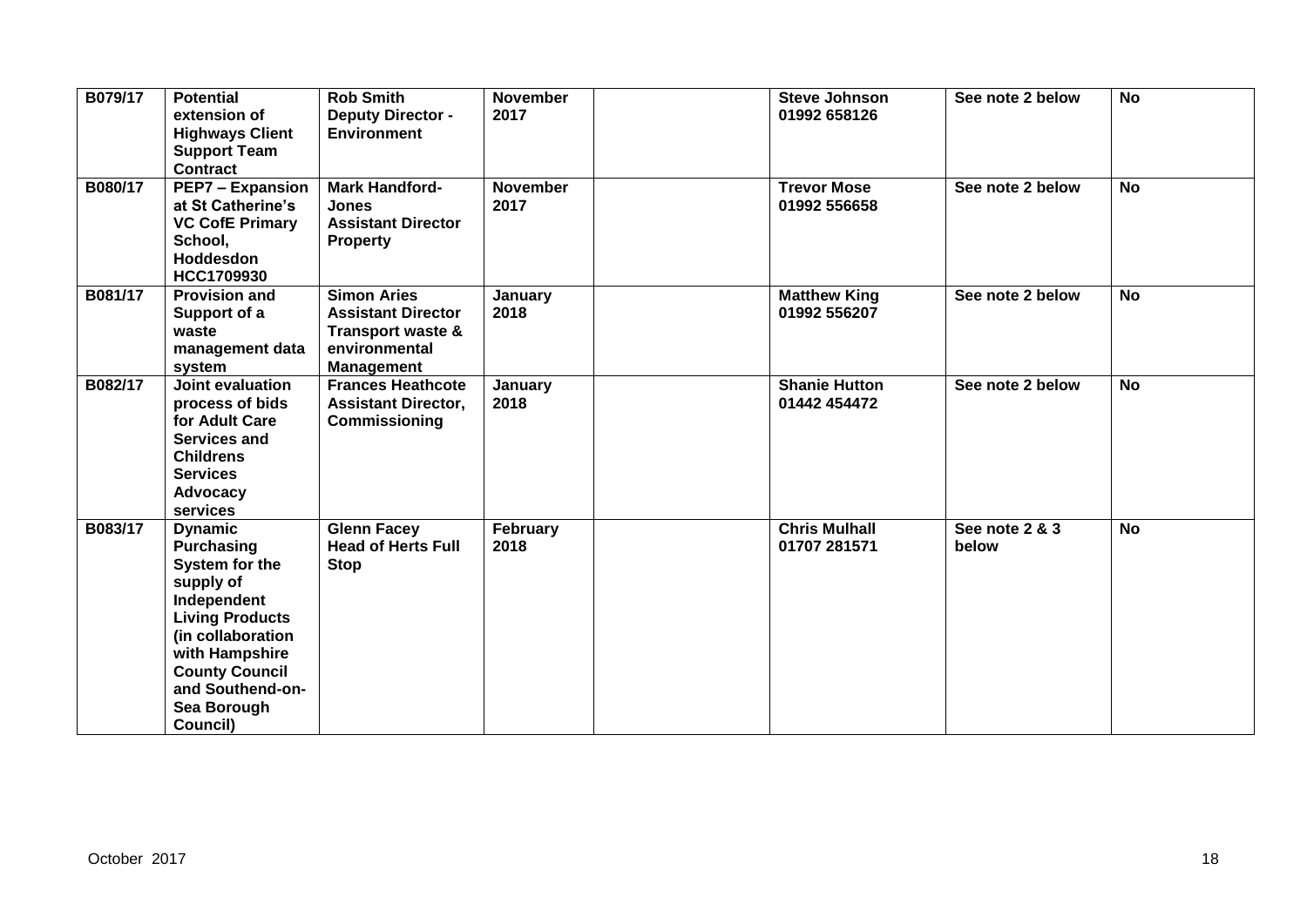| B079/17 | <b>Potential</b><br>extension of<br><b>Highways Client</b><br><b>Support Team</b><br><b>Contract</b>                                                                                                                       | <b>Rob Smith</b><br><b>Deputy Director -</b><br><b>Environment</b>                                                    | <b>November</b><br>2017 | <b>Steve Johnson</b><br>01992 658126 | See note 2 below        | <b>No</b>      |
|---------|----------------------------------------------------------------------------------------------------------------------------------------------------------------------------------------------------------------------------|-----------------------------------------------------------------------------------------------------------------------|-------------------------|--------------------------------------|-------------------------|----------------|
| B080/17 | <b>PEP7 - Expansion</b><br>at St Catherine's<br><b>VC CofE Primary</b><br>School,<br><b>Hoddesdon</b><br>HCC1709930                                                                                                        | <b>Mark Handford-</b><br><b>Jones</b><br><b>Assistant Director</b><br><b>Property</b>                                 | <b>November</b><br>2017 | <b>Trevor Mose</b><br>01992 556658   | See note 2 below        | <b>No</b>      |
| B081/17 | <b>Provision and</b><br>Support of a<br>waste<br>management data<br>system                                                                                                                                                 | <b>Simon Aries</b><br><b>Assistant Director</b><br><b>Transport waste &amp;</b><br>environmental<br><b>Management</b> | January<br>2018         | <b>Matthew King</b><br>01992 556207  | See note 2 below        | <b>No</b>      |
| B082/17 | Joint evaluation<br>process of bids<br>for Adult Care<br><b>Services and</b><br><b>Childrens</b><br><b>Services</b><br>Advocacy<br>services                                                                                | <b>Frances Heathcote</b><br><b>Assistant Director,</b><br>Commissioning                                               | January<br>2018         | <b>Shanie Hutton</b><br>01442 454472 | See note 2 below        | $\overline{N}$ |
| B083/17 | <b>Dynamic</b><br><b>Purchasing</b><br>System for the<br>supply of<br>Independent<br><b>Living Products</b><br>(in collaboration<br>with Hampshire<br><b>County Council</b><br>and Southend-on-<br>Sea Borough<br>Council) | <b>Glenn Facey</b><br><b>Head of Herts Full</b><br><b>Stop</b>                                                        | February<br>2018        | <b>Chris Mulhall</b><br>01707 281571 | See note 2 & 3<br>below | <b>No</b>      |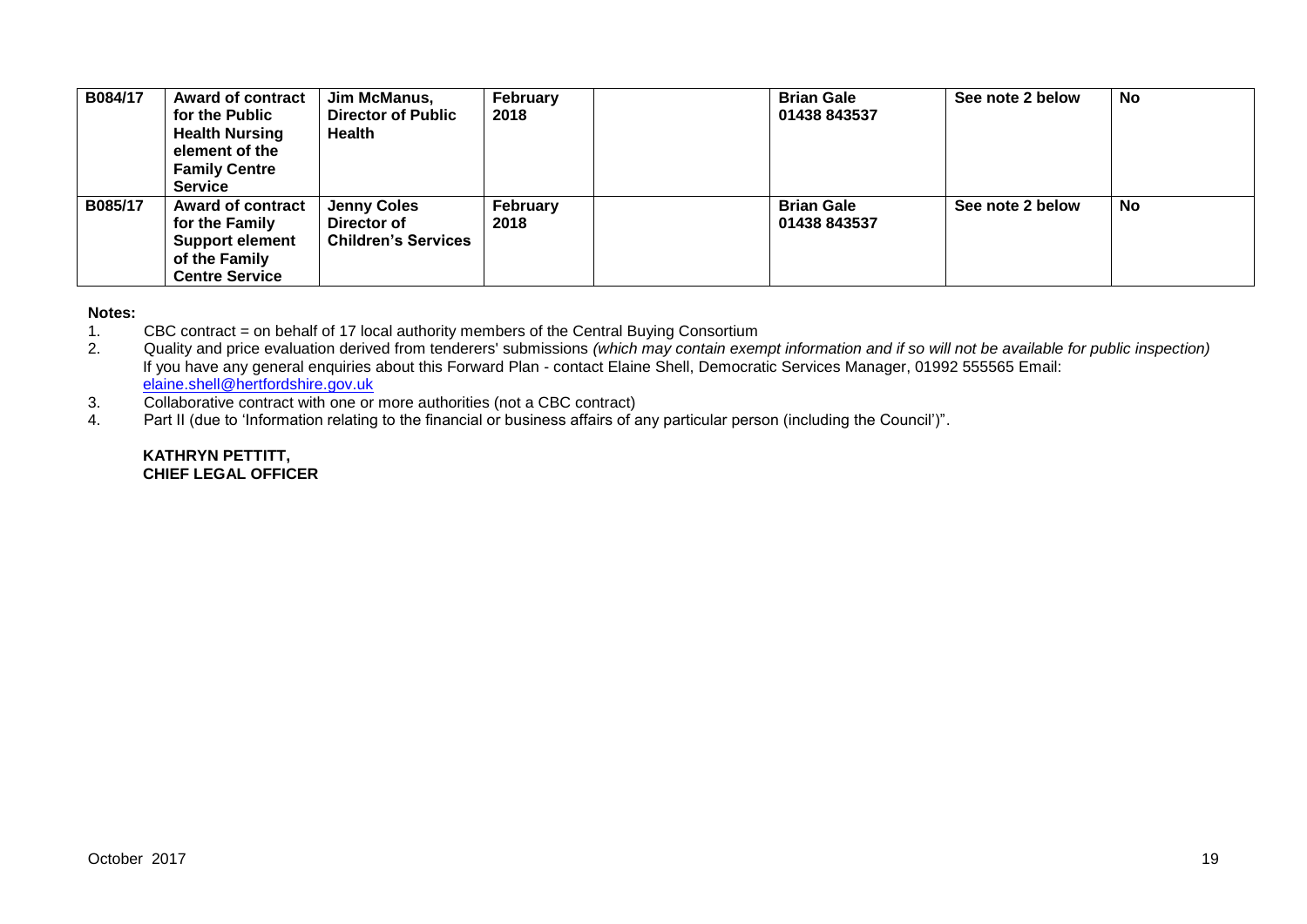| B084/17 | <b>Award of contract</b><br>for the Public<br><b>Health Nursing</b><br>element of the<br><b>Family Centre</b><br><b>Service</b> | Jim McManus,<br><b>Director of Public</b><br>Health             | February<br>2018 | <b>Brian Gale</b><br>01438 843537 | See note 2 below | <b>No</b> |
|---------|---------------------------------------------------------------------------------------------------------------------------------|-----------------------------------------------------------------|------------------|-----------------------------------|------------------|-----------|
| B085/17 | <b>Award of contract</b><br>for the Family<br><b>Support element</b><br>of the Family<br><b>Centre Service</b>                  | <b>Jenny Coles</b><br>Director of<br><b>Children's Services</b> | February<br>2018 | <b>Brian Gale</b><br>01438 843537 | See note 2 below | No        |

# **Notes:**

- 1. CBC contract = on behalf of 17 local authority members of the Central Buying Consortium
- 2. Quality and price evaluation derived from tenderers' submissions *(which may contain exempt information and if so will not be available for public inspection)* If you have any general enquiries about this Forward Plan - contact Elaine Shell, Democratic Services Manager, 01992 555565 Email: [elaine.shell@hertfordshire.gov.uk](mailto:elaine.shell@hertfordshire.gov.uk)
- 3. Collaborative contract with one or more authorities (not a CBC contract)
- 4. Part II (due to 'Information relating to the financial or business affairs of any particular person (including the Council')".

#### **KATHRYN PETTITT, CHIEF LEGAL OFFICER**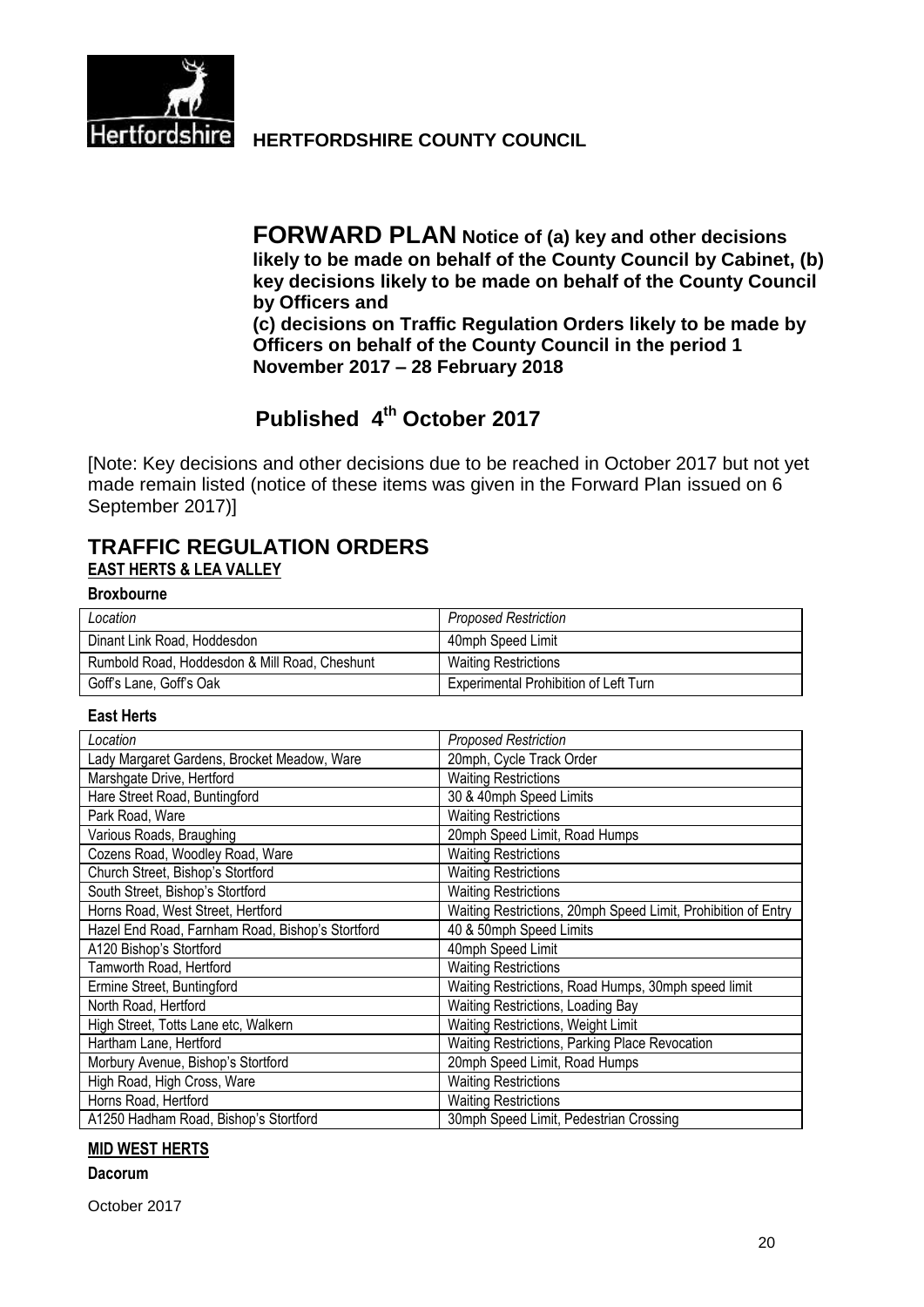

Hertfordshire HERTFORDSHIRE COUNTY COUNCIL

**FORWARD PLAN Notice of (a) key and other decisions likely to be made on behalf of the County Council by Cabinet, (b) key decisions likely to be made on behalf of the County Council by Officers and (c) decisions on Traffic Regulation Orders likely to be made by Officers on behalf of the County Council in the period 1 November 2017 – 28 February 2018**

# **Published 4 th October 2017**

[Note: Key decisions and other decisions due to be reached in October 2017 but not yet made remain listed (notice of these items was given in the Forward Plan issued on 6 September 2017)]

# **TRAFFIC REGULATION ORDERS EAST HERTS & LEA VALLEY**

**Broxbourne**

| Location                                      | <b>Proposed Restriction</b>                  |
|-----------------------------------------------|----------------------------------------------|
| Dinant Link Road, Hoddesdon                   | 40mph Speed Limit                            |
| Rumbold Road, Hoddesdon & Mill Road, Cheshunt | <b>Waiting Restrictions</b>                  |
| Goff's Lane, Goff's Oak                       | <b>Experimental Prohibition of Left Turn</b> |

#### **East Herts**

| Location                                         | <b>Proposed Restriction</b>                                   |
|--------------------------------------------------|---------------------------------------------------------------|
| Lady Margaret Gardens, Brocket Meadow, Ware      | 20mph, Cycle Track Order                                      |
| Marshgate Drive, Hertford                        | <b>Waiting Restrictions</b>                                   |
| Hare Street Road, Buntingford                    | 30 & 40mph Speed Limits                                       |
| Park Road, Ware                                  | <b>Waiting Restrictions</b>                                   |
| Various Roads, Braughing                         | 20mph Speed Limit, Road Humps                                 |
| Cozens Road, Woodley Road, Ware                  | <b>Waiting Restrictions</b>                                   |
| Church Street, Bishop's Stortford                | <b>Waiting Restrictions</b>                                   |
| South Street, Bishop's Stortford                 | <b>Waiting Restrictions</b>                                   |
| Horns Road, West Street, Hertford                | Waiting Restrictions, 20mph Speed Limit, Prohibition of Entry |
| Hazel End Road, Farnham Road, Bishop's Stortford | 40 & 50mph Speed Limits                                       |
| A120 Bishop's Stortford                          | 40mph Speed Limit                                             |
| Tamworth Road, Hertford                          | <b>Waiting Restrictions</b>                                   |
| Ermine Street, Buntingford                       | Waiting Restrictions, Road Humps, 30mph speed limit           |
| North Road, Hertford                             | Waiting Restrictions, Loading Bay                             |
| High Street, Totts Lane etc, Walkern             | <b>Waiting Restrictions, Weight Limit</b>                     |
| Hartham Lane, Hertford                           | Waiting Restrictions, Parking Place Revocation                |
| Morbury Avenue, Bishop's Stortford               | 20mph Speed Limit, Road Humps                                 |
| High Road, High Cross, Ware                      | <b>Waiting Restrictions</b>                                   |
| Horns Road, Hertford                             | <b>Waiting Restrictions</b>                                   |
| A1250 Hadham Road, Bishop's Stortford            | 30mph Speed Limit, Pedestrian Crossing                        |

#### **MID WEST HERTS**

#### **Dacorum**

October 2017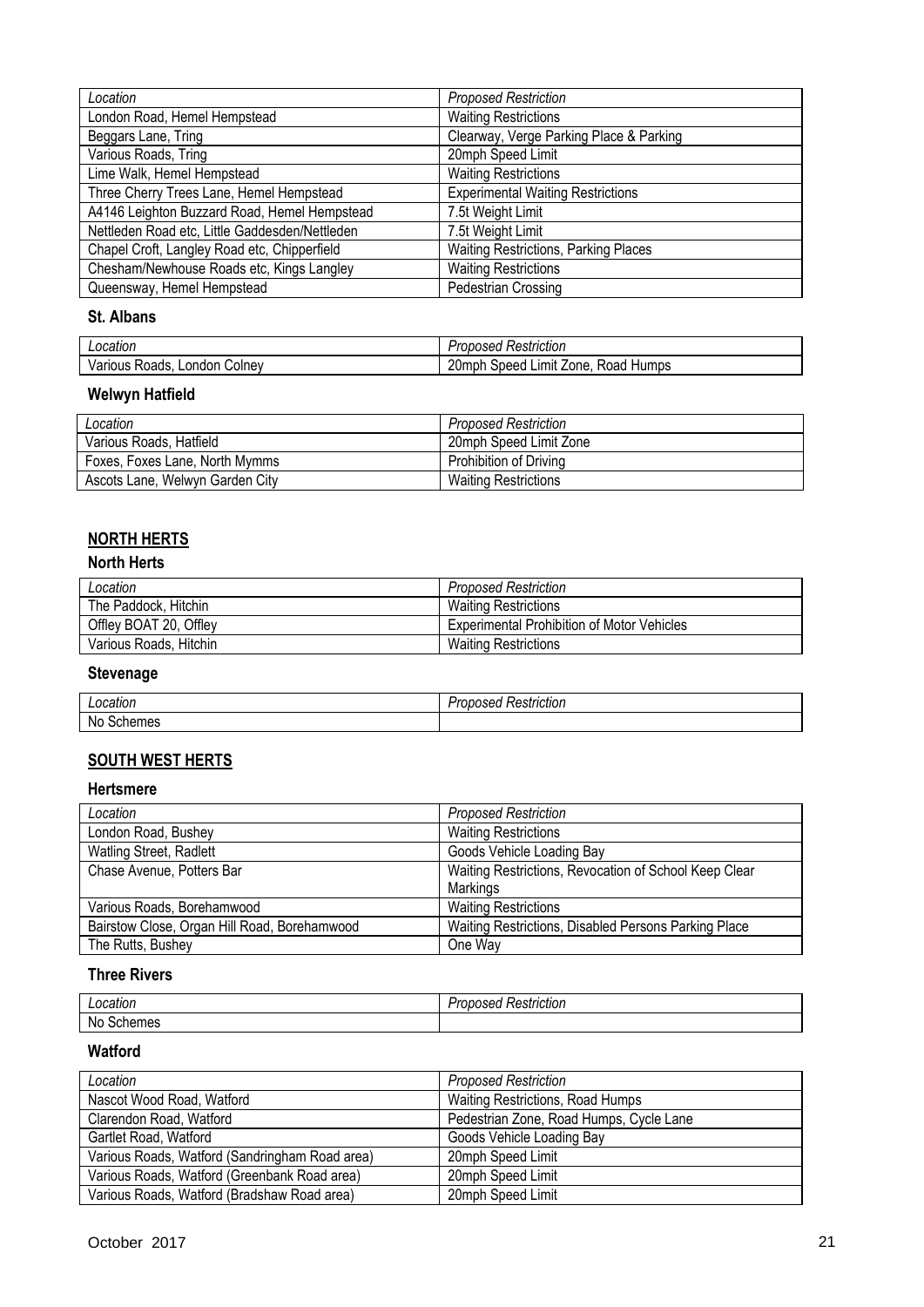| Location                                       | <b>Proposed Restriction</b>                 |
|------------------------------------------------|---------------------------------------------|
| London Road, Hemel Hempstead                   | <b>Waiting Restrictions</b>                 |
| Beggars Lane, Tring                            | Clearway, Verge Parking Place & Parking     |
| Various Roads, Tring                           | 20mph Speed Limit                           |
| Lime Walk, Hemel Hempstead                     | <b>Waiting Restrictions</b>                 |
| Three Cherry Trees Lane, Hemel Hempstead       | <b>Experimental Waiting Restrictions</b>    |
| A4146 Leighton Buzzard Road, Hemel Hempstead   | 7.5t Weight Limit                           |
| Nettleden Road etc, Little Gaddesden/Nettleden | 7.5t Weight Limit                           |
| Chapel Croft, Langley Road etc, Chipperfield   | <b>Waiting Restrictions, Parking Places</b> |
| Chesham/Newhouse Roads etc, Kings Langley      | <b>Waiting Restrictions</b>                 |
| Queensway, Hemel Hempstead                     | <b>Pedestrian Crossing</b>                  |

### **St. Albans**

| .ocatior                              | $\cdot$<br>. .<br>Restriction<br>oposed                                    |
|---------------------------------------|----------------------------------------------------------------------------|
| ∴olnev<br>Various<br>_ondor<br>Roads. | 20 <sub>mp</sub><br>Limit<br>Zone<br><b>Humps</b><br>Speed<br>.npr<br>≺oad |

# **Welwyn Hatfield**

| Location                        | <b>Proposed Restriction</b> |
|---------------------------------|-----------------------------|
| Various Roads, Hatfield         | 20mph Speed Limit Zone      |
| Foxes, Foxes Lane, North Mymms  | Prohibition of Driving      |
| Ascots Lane, Welwyn Garden City | <b>Waiting Restrictions</b> |

# **NORTH HERTS**

## **North Herts**

| Location               | <b>Proposed Restriction</b>                       |
|------------------------|---------------------------------------------------|
| The Paddock, Hitchin   | <b>Waiting Restrictions</b>                       |
| Offley BOAT 20, Offley | <b>Experimental Prohibition of Motor Vehicles</b> |
| Various Roads, Hitchin | Waiting Restrictions                              |

# **Stevenage**

| Location  | -<br>Restriction<br>1117ء<br>שטש יי |
|-----------|-------------------------------------|
| No<br>nes |                                     |

## **SOUTH WEST HERTS**

#### **Hertsmere**

| Location                                     | <b>Proposed Restriction</b>                           |
|----------------------------------------------|-------------------------------------------------------|
| London Road, Bushey                          | <b>Waiting Restrictions</b>                           |
| Watling Street, Radlett                      | Goods Vehicle Loading Bay                             |
| Chase Avenue, Potters Bar                    | Waiting Restrictions, Revocation of School Keep Clear |
|                                              | Markings                                              |
| Various Roads, Borehamwood                   | <b>Waiting Restrictions</b>                           |
| Bairstow Close, Organ Hill Road, Borehamwood | Waiting Restrictions, Disabled Persons Parking Place  |
| The Rutts, Bushey                            | One Way                                               |

#### **Three Rivers**

| $\cdots$<br>Location | <br>≺estrıctıon<br><br>ov<br>useu<br>ונסטו ֿ |
|----------------------|----------------------------------------------|
| No<br>Schemes        |                                              |

# **Watford**

| Location                                       | <b>Proposed Restriction</b>             |
|------------------------------------------------|-----------------------------------------|
| Nascot Wood Road, Watford                      | Waiting Restrictions, Road Humps        |
| Clarendon Road, Watford                        | Pedestrian Zone, Road Humps, Cycle Lane |
| Gartlet Road, Watford                          | Goods Vehicle Loading Bay               |
| Various Roads, Watford (Sandringham Road area) | 20mph Speed Limit                       |
| Various Roads, Watford (Greenbank Road area)   | 20mph Speed Limit                       |
| Various Roads, Watford (Bradshaw Road area)    | 20mph Speed Limit                       |